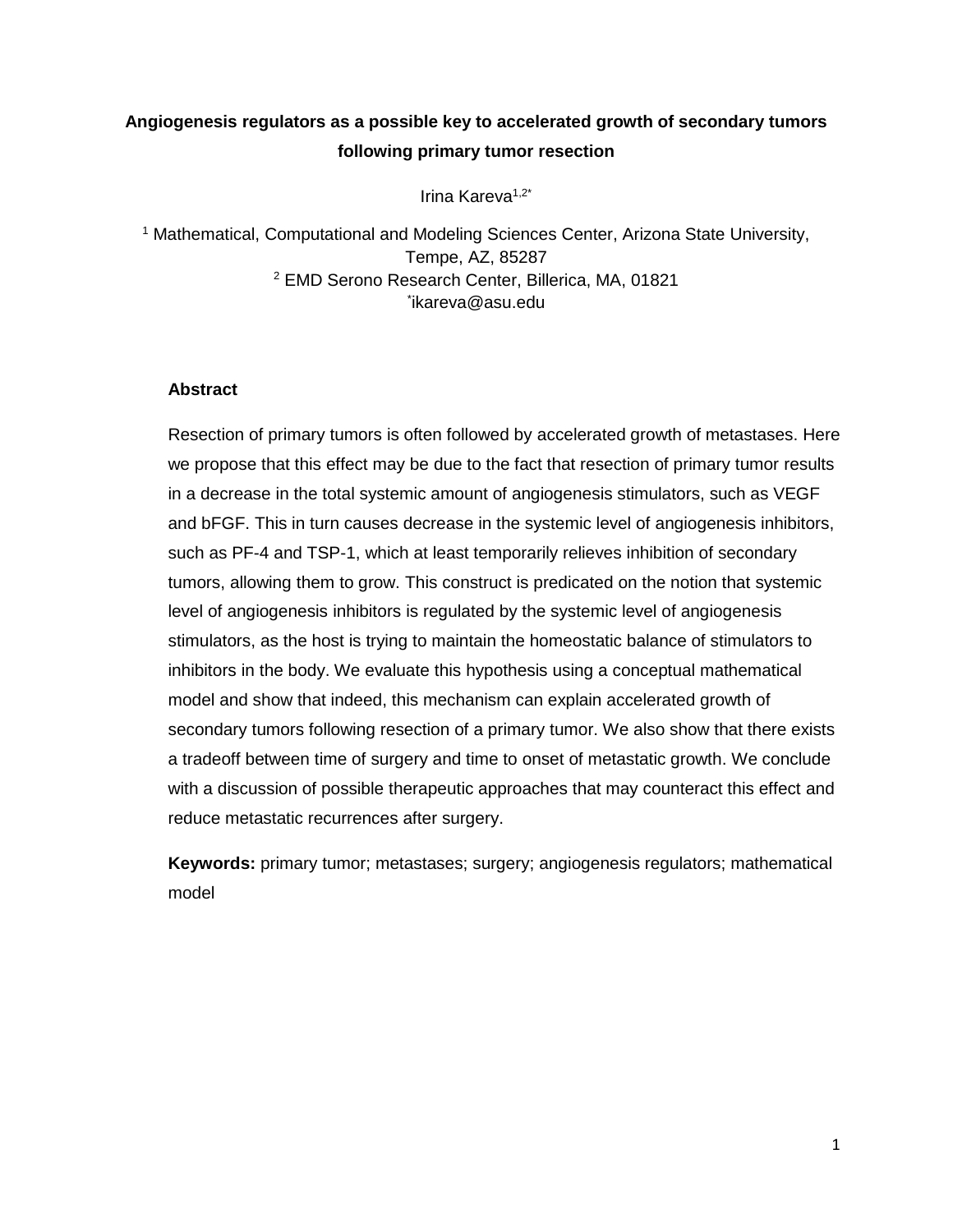# **Angiogenesis regulators as a possible key to accelerated growth of secondary tumors following primary tumor resection**

Irina Kareva<sup>1,2\*</sup>

<sup>1</sup> Mathematical, Computational and Modeling Sciences Center, Arizona State University, Tempe, AZ, 85287 <sup>2</sup> EMD Serono Research Center, Billerica, MA, 01821 \* ikareva@asu.edu

## **Abstract**

Resection of primary tumors is often followed by accelerated growth of metastases. Here we propose that this effect may be due to the fact that resection of primary tumor results in a decrease in the total systemic amount of angiogenesis stimulators, such as VEGF and bFGF. This in turn causes decrease in the systemic level of angiogenesis inhibitors, such as PF-4 and TSP-1, which at least temporarily relieves inhibition of secondary tumors, allowing them to grow. This construct is predicated on the notion that systemic level of angiogenesis inhibitors is regulated by the systemic level of angiogenesis stimulators, as the host is trying to maintain the homeostatic balance of stimulators to inhibitors in the body. We evaluate this hypothesis using a conceptual mathematical model and show that indeed, this mechanism can explain accelerated growth of secondary tumors following resection of a primary tumor. We also show that there exists a tradeoff between time of surgery and time to onset of metastatic growth. We conclude with a discussion of possible therapeutic approaches that may counteract this effect and reduce metastatic recurrences after surgery.

**Keywords:** primary tumor; metastases; surgery; angiogenesis regulators; mathematical model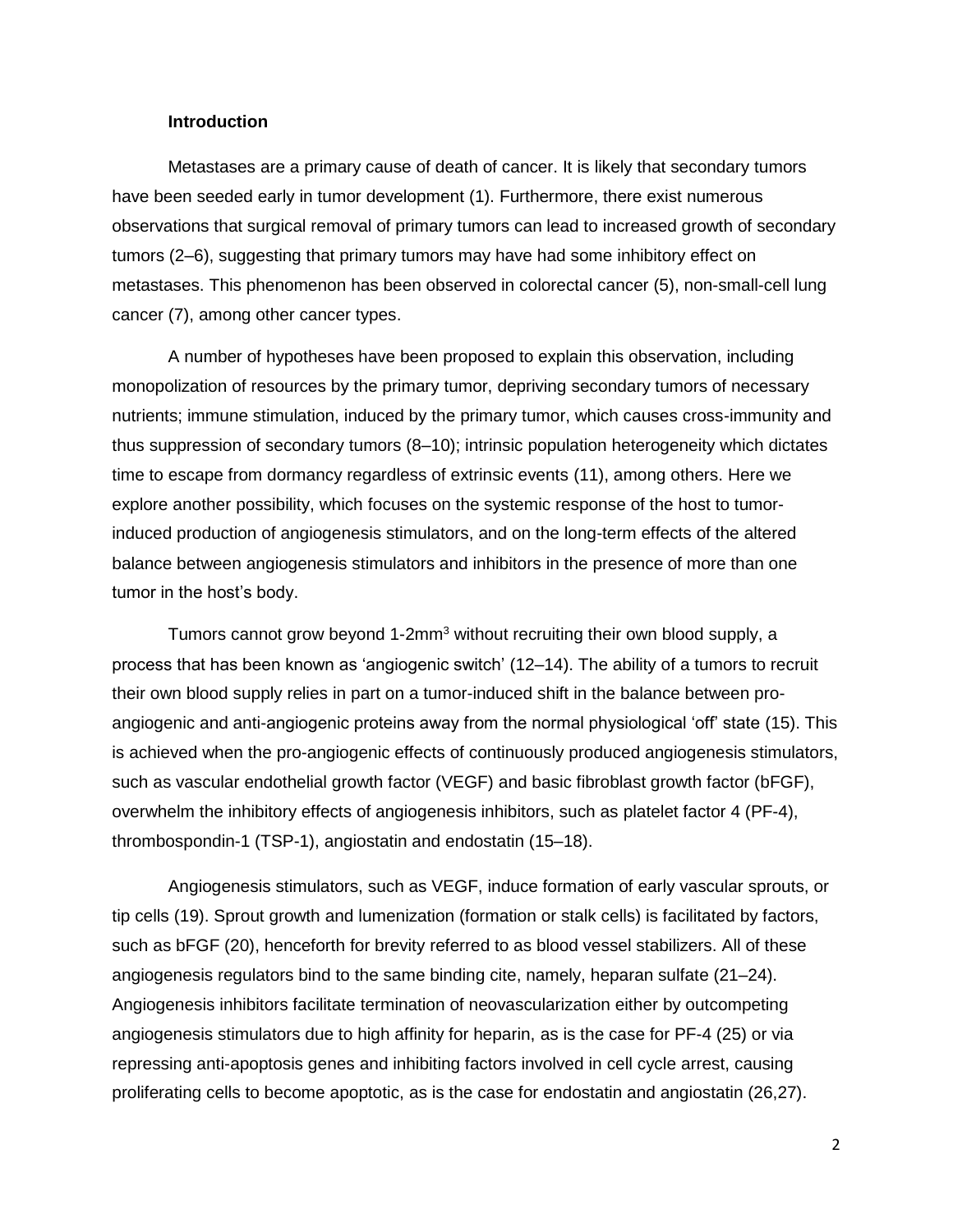### **Introduction**

Metastases are a primary cause of death of cancer. It is likely that secondary tumors have been seeded early in tumor development (1). Furthermore, there exist numerous observations that surgical removal of primary tumors can lead to increased growth of secondary tumors (2–6), suggesting that primary tumors may have had some inhibitory effect on metastases. This phenomenon has been observed in colorectal cancer (5), non-small-cell lung cancer (7), among other cancer types.

A number of hypotheses have been proposed to explain this observation, including monopolization of resources by the primary tumor, depriving secondary tumors of necessary nutrients; immune stimulation, induced by the primary tumor, which causes cross-immunity and thus suppression of secondary tumors (8–10); intrinsic population heterogeneity which dictates time to escape from dormancy regardless of extrinsic events (11), among others. Here we explore another possibility, which focuses on the systemic response of the host to tumorinduced production of angiogenesis stimulators, and on the long-term effects of the altered balance between angiogenesis stimulators and inhibitors in the presence of more than one tumor in the host's body.

Tumors cannot grow beyond 1-2mm<sup>3</sup> without recruiting their own blood supply, a process that has been known as 'angiogenic switch' (12–14). The ability of a tumors to recruit their own blood supply relies in part on a tumor-induced shift in the balance between proangiogenic and anti-angiogenic proteins away from the normal physiological 'off' state (15). This is achieved when the pro-angiogenic effects of continuously produced angiogenesis stimulators, such as vascular endothelial growth factor (VEGF) and basic fibroblast growth factor (bFGF), overwhelm the inhibitory effects of angiogenesis inhibitors, such as platelet factor 4 (PF-4), thrombospondin-1 (TSP-1), angiostatin and endostatin (15–18).

Angiogenesis stimulators, such as VEGF, induce formation of early vascular sprouts, or tip cells (19). Sprout growth and lumenization (formation or stalk cells) is facilitated by factors, such as bFGF (20), henceforth for brevity referred to as blood vessel stabilizers. All of these angiogenesis regulators bind to the same binding cite, namely, heparan sulfate (21–24). Angiogenesis inhibitors facilitate termination of neovascularization either by outcompeting angiogenesis stimulators due to high affinity for heparin, as is the case for PF-4 (25) or via repressing anti-apoptosis genes and inhibiting factors involved in cell cycle arrest, causing proliferating cells to become apoptotic, as is the case for endostatin and angiostatin (26,27).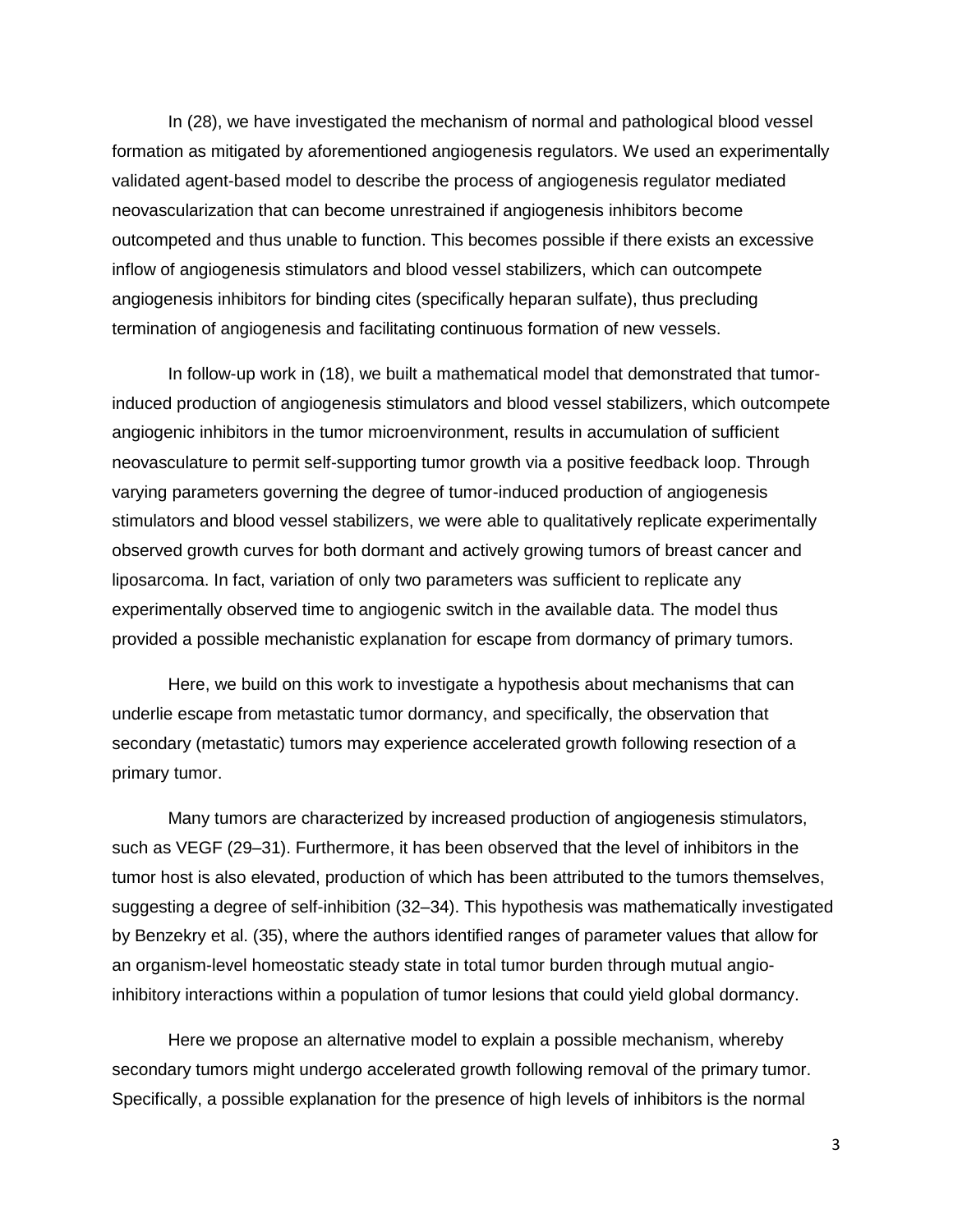In (28), we have investigated the mechanism of normal and pathological blood vessel formation as mitigated by aforementioned angiogenesis regulators. We used an experimentally validated agent-based model to describe the process of angiogenesis regulator mediated neovascularization that can become unrestrained if angiogenesis inhibitors become outcompeted and thus unable to function. This becomes possible if there exists an excessive inflow of angiogenesis stimulators and blood vessel stabilizers, which can outcompete angiogenesis inhibitors for binding cites (specifically heparan sulfate), thus precluding termination of angiogenesis and facilitating continuous formation of new vessels.

In follow-up work in (18), we built a mathematical model that demonstrated that tumorinduced production of angiogenesis stimulators and blood vessel stabilizers, which outcompete angiogenic inhibitors in the tumor microenvironment, results in accumulation of sufficient neovasculature to permit self-supporting tumor growth via a positive feedback loop. Through varying parameters governing the degree of tumor-induced production of angiogenesis stimulators and blood vessel stabilizers, we were able to qualitatively replicate experimentally observed growth curves for both dormant and actively growing tumors of breast cancer and liposarcoma. In fact, variation of only two parameters was sufficient to replicate any experimentally observed time to angiogenic switch in the available data. The model thus provided a possible mechanistic explanation for escape from dormancy of primary tumors.

Here, we build on this work to investigate a hypothesis about mechanisms that can underlie escape from metastatic tumor dormancy, and specifically, the observation that secondary (metastatic) tumors may experience accelerated growth following resection of a primary tumor.

Many tumors are characterized by increased production of angiogenesis stimulators, such as VEGF (29–31). Furthermore, it has been observed that the level of inhibitors in the tumor host is also elevated, production of which has been attributed to the tumors themselves, suggesting a degree of self-inhibition (32–34). This hypothesis was mathematically investigated by Benzekry et al. (35), where the authors identified ranges of parameter values that allow for an organism-level homeostatic steady state in total tumor burden through mutual angioinhibitory interactions within a population of tumor lesions that could yield global dormancy.

Here we propose an alternative model to explain a possible mechanism, whereby secondary tumors might undergo accelerated growth following removal of the primary tumor. Specifically, a possible explanation for the presence of high levels of inhibitors is the normal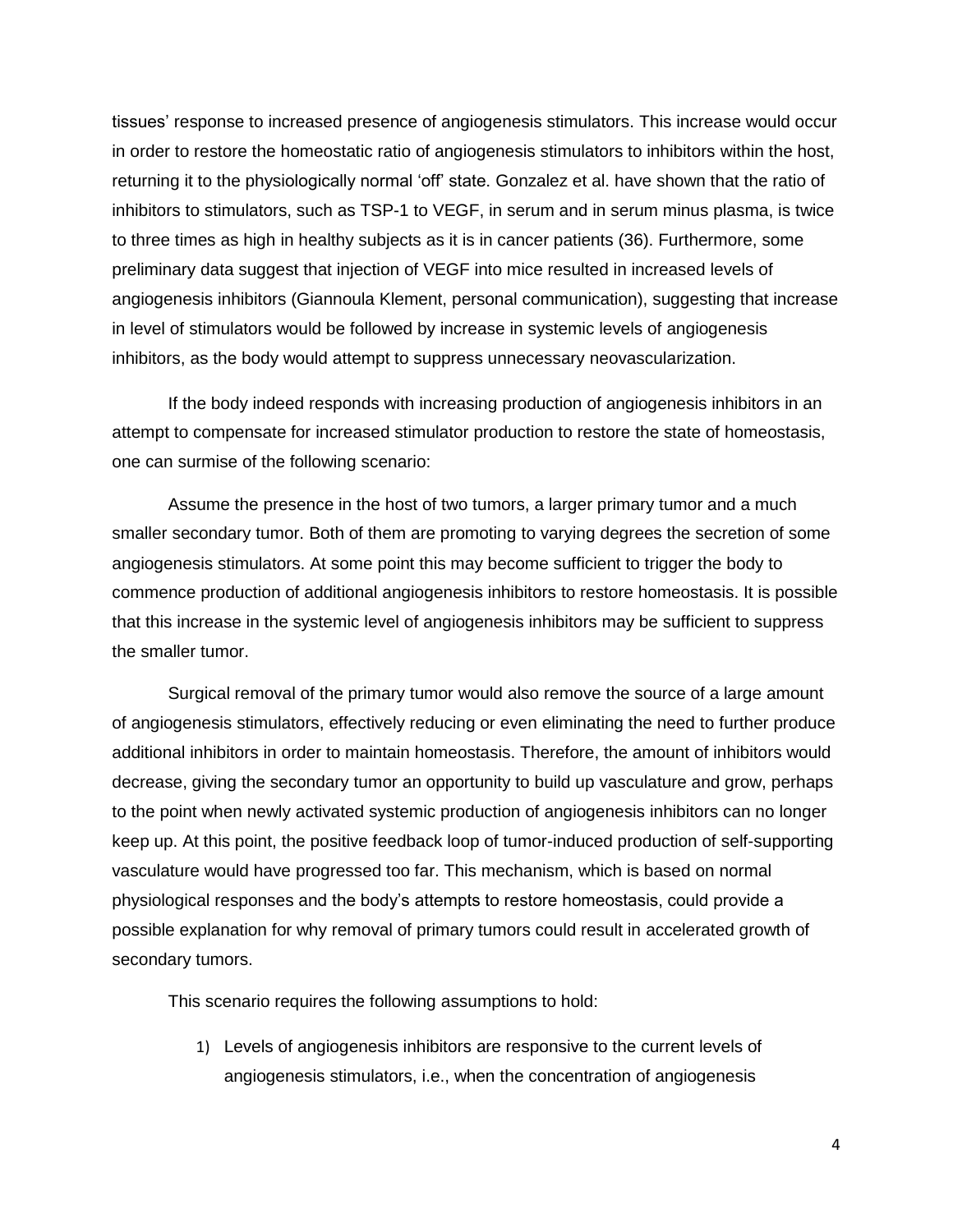tissues' response to increased presence of angiogenesis stimulators. This increase would occur in order to restore the homeostatic ratio of angiogenesis stimulators to inhibitors within the host, returning it to the physiologically normal 'off' state. Gonzalez et al. have shown that the ratio of inhibitors to stimulators, such as TSP-1 to VEGF, in serum and in serum minus plasma, is twice to three times as high in healthy subjects as it is in cancer patients (36). Furthermore, some preliminary data suggest that injection of VEGF into mice resulted in increased levels of angiogenesis inhibitors (Giannoula Klement, personal communication), suggesting that increase in level of stimulators would be followed by increase in systemic levels of angiogenesis inhibitors, as the body would attempt to suppress unnecessary neovascularization.

If the body indeed responds with increasing production of angiogenesis inhibitors in an attempt to compensate for increased stimulator production to restore the state of homeostasis, one can surmise of the following scenario:

Assume the presence in the host of two tumors, a larger primary tumor and a much smaller secondary tumor. Both of them are promoting to varying degrees the secretion of some angiogenesis stimulators. At some point this may become sufficient to trigger the body to commence production of additional angiogenesis inhibitors to restore homeostasis. It is possible that this increase in the systemic level of angiogenesis inhibitors may be sufficient to suppress the smaller tumor.

Surgical removal of the primary tumor would also remove the source of a large amount of angiogenesis stimulators, effectively reducing or even eliminating the need to further produce additional inhibitors in order to maintain homeostasis. Therefore, the amount of inhibitors would decrease, giving the secondary tumor an opportunity to build up vasculature and grow, perhaps to the point when newly activated systemic production of angiogenesis inhibitors can no longer keep up. At this point, the positive feedback loop of tumor-induced production of self-supporting vasculature would have progressed too far. This mechanism, which is based on normal physiological responses and the body's attempts to restore homeostasis, could provide a possible explanation for why removal of primary tumors could result in accelerated growth of secondary tumors.

This scenario requires the following assumptions to hold:

1) Levels of angiogenesis inhibitors are responsive to the current levels of angiogenesis stimulators, i.e., when the concentration of angiogenesis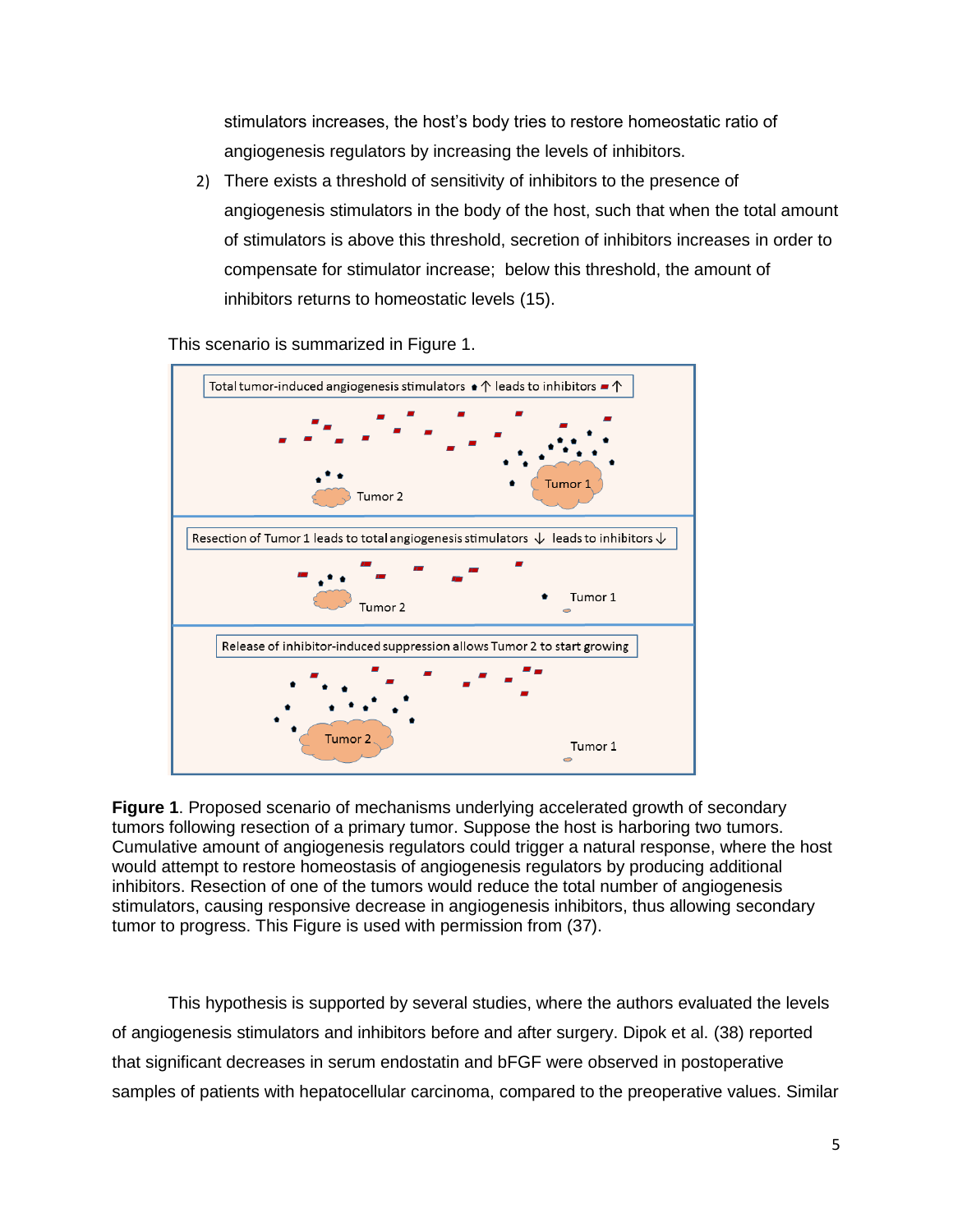stimulators increases, the host's body tries to restore homeostatic ratio of angiogenesis regulators by increasing the levels of inhibitors.

2) There exists a threshold of sensitivity of inhibitors to the presence of angiogenesis stimulators in the body of the host, such that when the total amount of stimulators is above this threshold, secretion of inhibitors increases in order to compensate for stimulator increase; below this threshold, the amount of inhibitors returns to homeostatic levels (15).

This scenario is summarized in Figure 1.



**Figure 1**. Proposed scenario of mechanisms underlying accelerated growth of secondary tumors following resection of a primary tumor. Suppose the host is harboring two tumors. Cumulative amount of angiogenesis regulators could trigger a natural response, where the host would attempt to restore homeostasis of angiogenesis regulators by producing additional inhibitors. Resection of one of the tumors would reduce the total number of angiogenesis stimulators, causing responsive decrease in angiogenesis inhibitors, thus allowing secondary tumor to progress. This Figure is used with permission from (37).

This hypothesis is supported by several studies, where the authors evaluated the levels of angiogenesis stimulators and inhibitors before and after surgery. Dipok et al. (38) reported that significant decreases in serum endostatin and bFGF were observed in postoperative samples of patients with hepatocellular carcinoma, compared to the preoperative values. Similar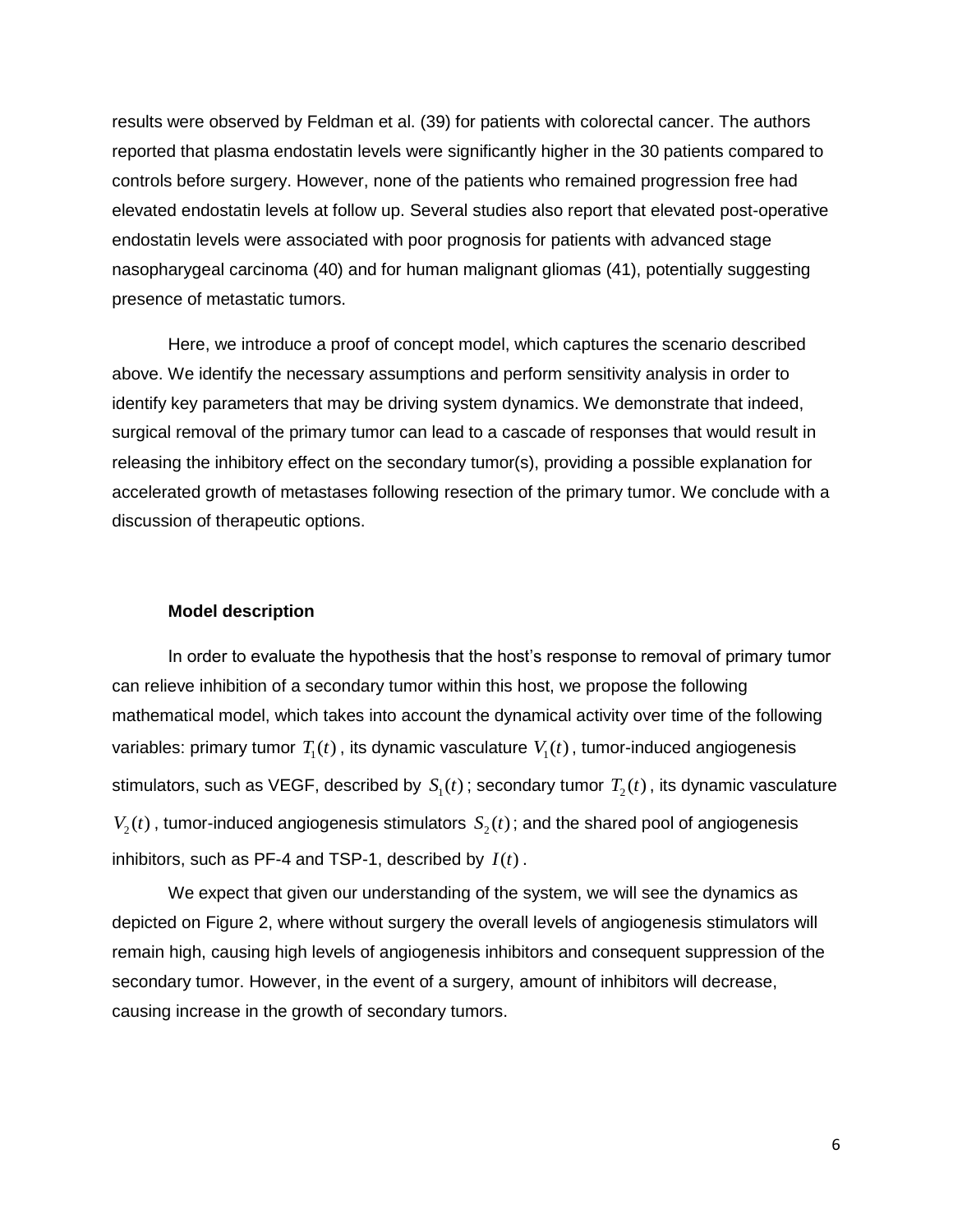results were observed by Feldman et al. (39) for patients with colorectal cancer. The authors reported that plasma endostatin levels were significantly higher in the 30 patients compared to controls before surgery. However, none of the patients who remained progression free had elevated endostatin levels at follow up. Several studies also report that elevated post-operative endostatin levels were associated with poor prognosis for patients with advanced stage nasopharygeal carcinoma (40) and for human malignant gliomas (41), potentially suggesting presence of metastatic tumors.

Here, we introduce a proof of concept model, which captures the scenario described above. We identify the necessary assumptions and perform sensitivity analysis in order to identify key parameters that may be driving system dynamics. We demonstrate that indeed, surgical removal of the primary tumor can lead to a cascade of responses that would result in releasing the inhibitory effect on the secondary tumor(s), providing a possible explanation for accelerated growth of metastases following resection of the primary tumor. We conclude with a discussion of therapeutic options.

#### **Model description**

In order to evaluate the hypothesis that the host's response to removal of primary tumor can relieve inhibition of a secondary tumor within this host, we propose the following mathematical model, which takes into account the dynamical activity over time of the following variables: primary tumor  $T_{1}(t)$  , its dynamic vasculature  $\,V_{1}(t)$  , tumor-induced angiogenesis stimulators, such as VEGF, described by  $\,S_1(t)$  ; secondary tumor  $\,T_2(t)$  , its dynamic vasculature  $V_2(t)$ , tumor-induced angiogenesis stimulators  $S_2(t)$ ; and the shared pool of angiogenesis inhibitors, such as PF-4 and TSP-1, described by  $I(t)$ .

We expect that given our understanding of the system, we will see the dynamics as depicted on Figure 2, where without surgery the overall levels of angiogenesis stimulators will remain high, causing high levels of angiogenesis inhibitors and consequent suppression of the secondary tumor. However, in the event of a surgery, amount of inhibitors will decrease, causing increase in the growth of secondary tumors.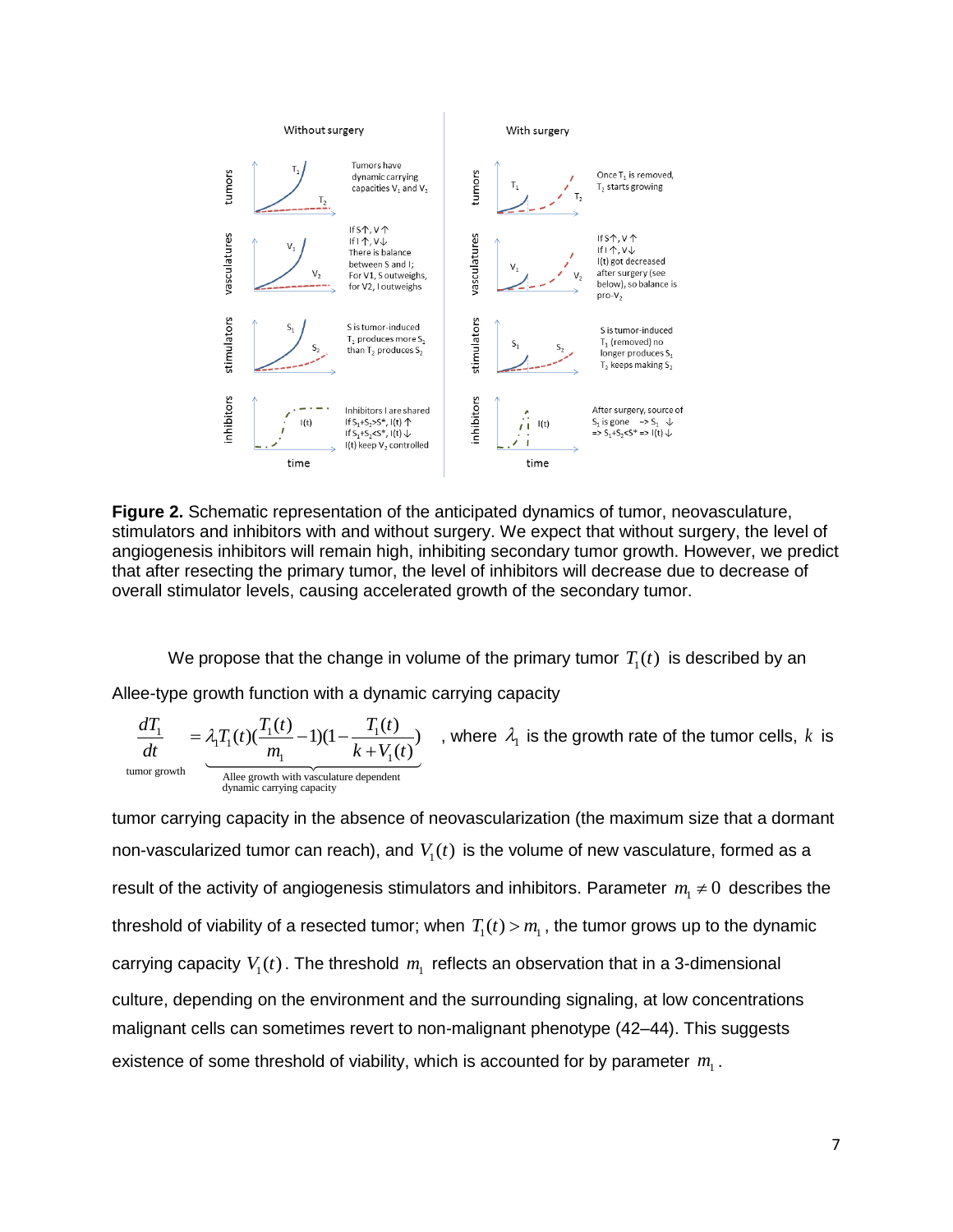

**Figure 2.** Schematic representation of the anticipated dynamics of tumor, neovasculature, stimulators and inhibitors with and without surgery. We expect that without surgery, the level of angiogenesis inhibitors will remain high, inhibiting secondary tumor growth. However, we predict that after resecting the primary tumor, the level of inhibitors will decrease due to decrease of overall stimulator levels, causing accelerated growth of the secondary tumor.

We propose that the change in volume of the primary tumor  $\, T_{\rm i}(t)\,$  is described by an Allee-type growth function with a dynamic carrying capacity

 $\frac{1}{\mu}$  =  $\lambda_1 T_1(t) (\frac{T_1(t)}{m} - 1)(1 - \frac{T_1}{k+1})$  $\frac{1}{k_1}$  1)(1 –  $\frac{1}{k+V_1}$ tumor growth<br>Allee growth with vasculature dependent dynamic carrying capacity th function with a dynamic<br>  $(t) (\frac{T_1(t)}{m_1} - 1)(1 - \frac{T_1(t)}{k + V_1(t)})$ ) ( ie-type growth function with a dyn:<br>  $\frac{dT_1}{dt} = \lambda_i T_i(t) (\frac{T_1(t)}{T_1} - 1)(1 - \frac{T_1(t)}{T_1}$  $\frac{dT_1}{dt}$  =  $\lambda_1 T_1(t) (\frac{T_1(t)}{m_1} - 1)(1 - \frac{T_1(t)}{k + V_1(t)})$  $t = \lambda_1 T_1(t) (\frac{T_1(t)}{m_1} - 1)(1 - \frac{T_1(t)}{k + V_1})$ , where  $\lambda_1$  is the growth rate of the tumor cells,  $k$  is

tumor carrying capacity in the absence of neovascularization (the maximum size that a dormant non-vascularized tumor can reach), and  $V_1(t)$  is the volume of new vasculature, formed as a result of the activity of angiogenesis stimulators and inhibitors. Parameter  $m_{\text{l}}\neq 0\,$  describes the threshold of viability of a resected tumor; when  $T_1(t)$  >  $m_{\rm l}$  , the tumor grows up to the dynamic carrying capacity  $V_1(t)$ . The threshold  $m_1$  reflects an observation that in a 3-dimensional culture, depending on the environment and the surrounding signaling, at low concentrations malignant cells can sometimes revert to non-malignant phenotype (42–44). This suggests existence of some threshold of viability, which is accounted for by parameter  $m<sub>1</sub>$ .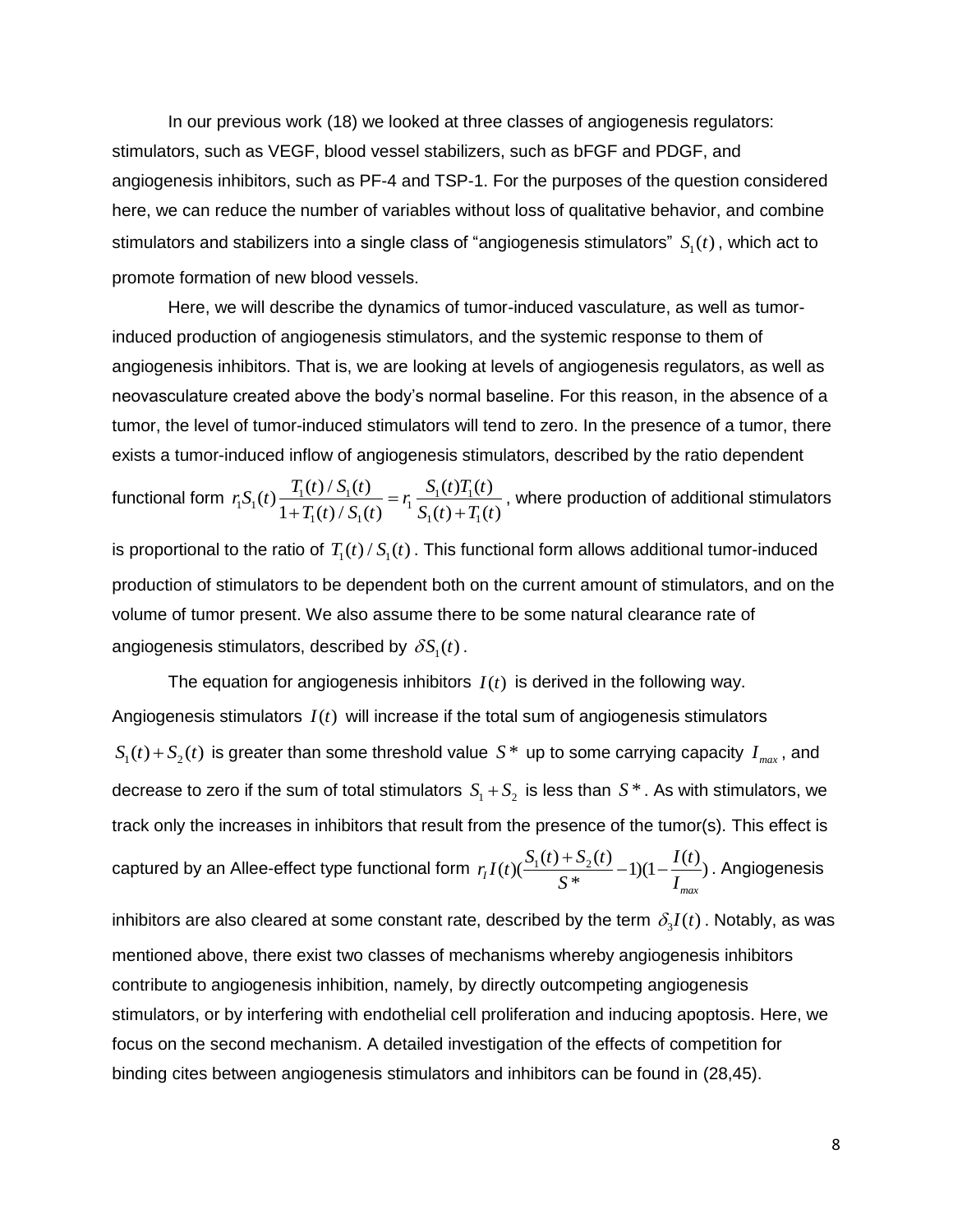In our previous work (18) we looked at three classes of angiogenesis regulators: stimulators, such as VEGF, blood vessel stabilizers, such as bFGF and PDGF, and angiogenesis inhibitors, such as PF-4 and TSP-1. For the purposes of the question considered here, we can reduce the number of variables without loss of qualitative behavior, and combine stimulators and stabilizers into a single class of "angiogenesis stimulators"  $S_{1}(t)$  , which act to promote formation of new blood vessels.

Here, we will describe the dynamics of tumor-induced vasculature, as well as tumorinduced production of angiogenesis stimulators, and the systemic response to them of angiogenesis inhibitors. That is, we are looking at levels of angiogenesis regulators, as well as neovasculature created above the body's normal baseline. For this reason, in the absence of a tumor, the level of tumor-induced stimulators will tend to zero. In the presence of a tumor, there exists a tumor-induced inflow of angiogenesis stimulators, described by the ratio dependent

functional form  $r_i S_1(t) \frac{T_1(t)/S_1(t)}{1+T(t)/S_1(t)} = r_i \frac{S_1(t)T_1}{S_1(t)+T_1}$  $T_1(t)/S_1(t)$ <sup>-1</sup>  $S_1(t)+T_1$ Ged innow of anglogenesis sum<br>  $(t) \frac{T_1(t)/S_1(t)}{1+T_1(t)/S_1(t)} = r_1 \frac{S_1(t)T_1(t)}{S_1(t)+T_1(t)}$  $\frac{T_1(t)/S_1(t)}{1+T_1(t)/S_1(t)} = r_1 \frac{S_1(t)T_1(t)}{S_1(t)+T_1(t)}$ rated innow or angiogenesis surf<br> $r_1 S_1(t) \frac{T_1(t)/S_1(t)}{1+T(t)/S_1(t)} = r_1 \frac{S_1(t)T_1(t)}{S_1(t)+T_1(t)}$  $\frac{f(t)/S_1(t)}{T_1(t)/S_1(t)} = r_1 \frac{S_1(t)T_1(t)}{S_1(t)+T_1(t)}$  $S_1(t) + T_1$  $\frac{T_1(t)/S_1(t)}{T_1(t)/S_1(t)} = r_1 \frac{S_1(t)T_1(t)}{S_1(t)+T_1(t)}$ , where production of additional stimulators

is proportional to the ratio of  $\, T_{\rm l}(t)$  /  $S_{\rm l}(t)$  . This functional form allows additional tumor-induced production of stimulators to be dependent both on the current amount of stimulators, and on the volume of tumor present. We also assume there to be some natural clearance rate of angiogenesis stimulators, described by  $\,\delta\hskip-.7pt S_{\rm l}(t)$  .

The equation for angiogenesis inhibitors  $I(t)$  is derived in the following way. Angiogenesis stimulators  $I(t)$  will increase if the total sum of angiogenesis stimulators  $S_1(t) + S_2(t)$  is greater than some threshold value  $S^*$  up to some carrying capacity  $I_{max}$ , and decrease to zero if the sum of total stimulators  $S_1 + S_2$  is less than  $S^*$  . As with stimulators, we track only the increases in inhibitors that result from the presence of the tumor(s). This effect is captured by an Allee-effect type functional form  $r_I I(t) (\frac{S_1(t) + S_2(t)}{S^*} - 1)(1 - \frac{I(t)}{I_{max}})$ *max*  $r_I I(t) (\frac{S_1(t) + S_2(t)}{S^*} - 1)(1 - \frac{I(t)}{I_{ma}})$  $\frac{+S_2(t)}{S_1*}-1(1-\frac{I(t)}{I})$ . Angiogenesis

inhibitors are also cleared at some constant rate, described by the term  $\,\delta_3I(t)$  . Notably, as was mentioned above, there exist two classes of mechanisms whereby angiogenesis inhibitors contribute to angiogenesis inhibition, namely, by directly outcompeting angiogenesis stimulators, or by interfering with endothelial cell proliferation and inducing apoptosis. Here, we focus on the second mechanism. A detailed investigation of the effects of competition for binding cites between angiogenesis stimulators and inhibitors can be found in (28,45).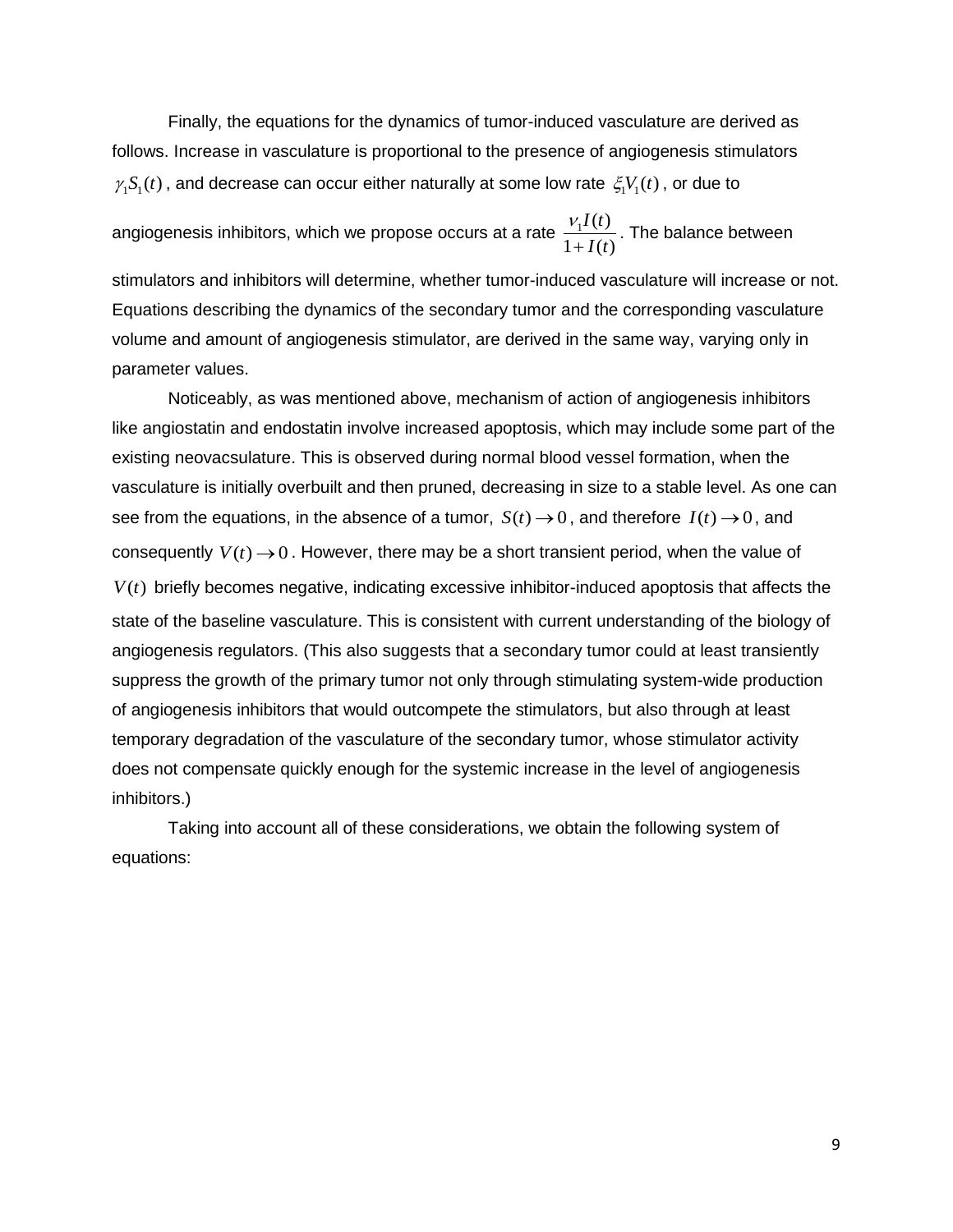Finally, the equations for the dynamics of tumor-induced vasculature are derived as follows. Increase in vasculature is proportional to the presence of angiogenesis stimulators  $\gamma_1 S_1(t)$ , and decrease can occur either naturally at some low rate  $\zeta_1 V_1(t)$ , or due to

angiogenesis inhibitors, which we propose occurs at a rate  $\frac{V_1 I(t)}{t}$  $1 + I(t)$ *I t I t* V  $\ddot{}$ . The balance between

stimulators and inhibitors will determine, whether tumor-induced vasculature will increase or not. Equations describing the dynamics of the secondary tumor and the corresponding vasculature volume and amount of angiogenesis stimulator, are derived in the same way, varying only in parameter values.

Noticeably, as was mentioned above, mechanism of action of angiogenesis inhibitors like angiostatin and endostatin involve increased apoptosis, which may include some part of the existing neovacsulature. This is observed during normal blood vessel formation, when the vasculature is initially overbuilt and then pruned, decreasing in size to a stable level. As one can see from the equations, in the absence of a tumor,  $S(t) \rightarrow 0$ , and therefore  $I(t) \rightarrow 0$ , and consequently  $V(t) \rightarrow 0$ . However, there may be a short transient period, when the value of  $V(t)$  briefly becomes negative, indicating excessive inhibitor-induced apoptosis that affects the state of the baseline vasculature. This is consistent with current understanding of the biology of angiogenesis regulators. (This also suggests that a secondary tumor could at least transiently suppress the growth of the primary tumor not only through stimulating system-wide production of angiogenesis inhibitors that would outcompete the stimulators, but also through at least temporary degradation of the vasculature of the secondary tumor, whose stimulator activity does not compensate quickly enough for the systemic increase in the level of angiogenesis inhibitors.)

Taking into account all of these considerations, we obtain the following system of equations: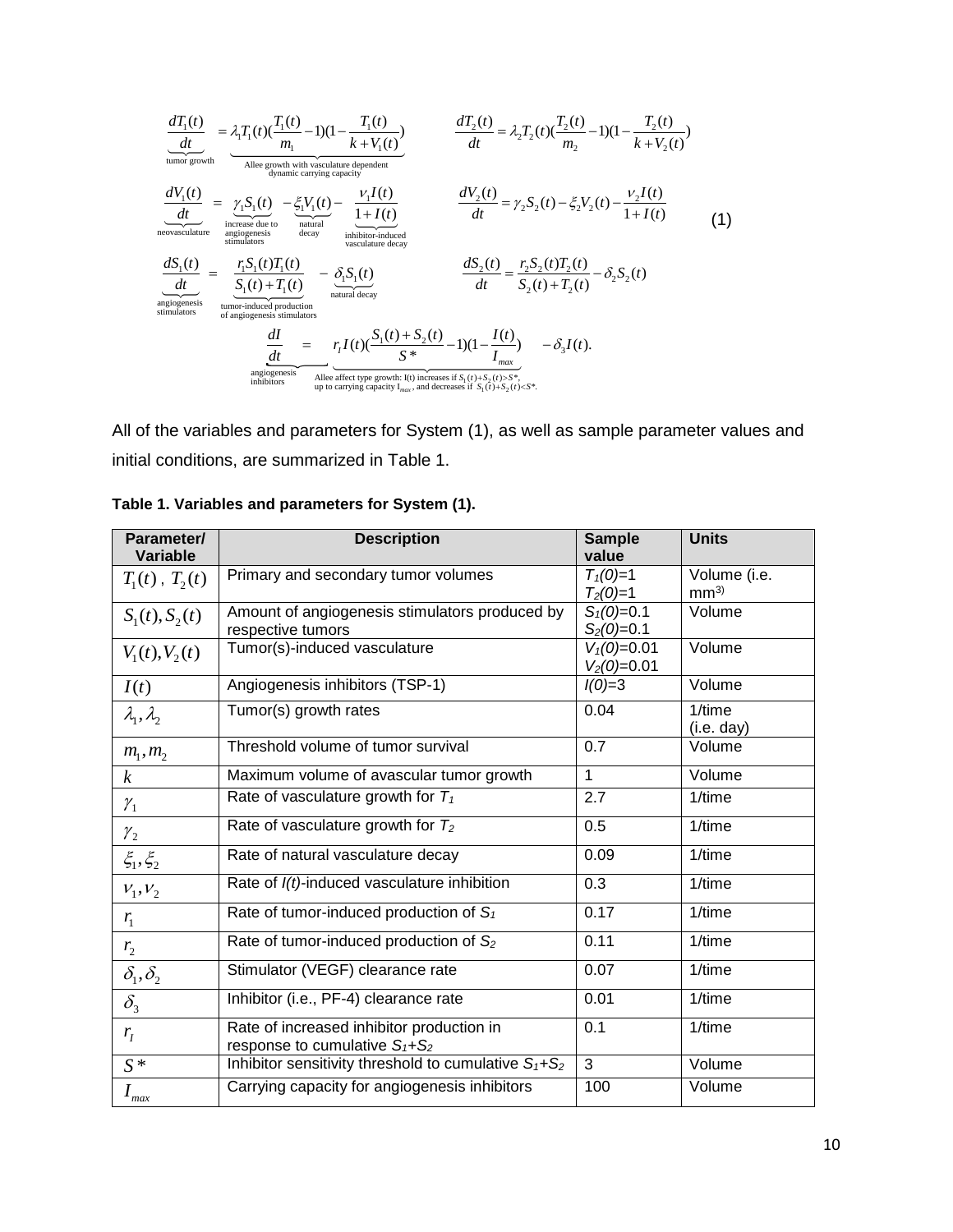$$
\frac{dT_1(t)}{dt} = \frac{\lambda_1 T_1(t)(\frac{T_1(t)}{m_1} - 1)(1 - \frac{T_1(t)}{k + V_1(t)})}{\frac{\lambda_1}{\lambda_2}} = \lambda_2 T_2(t)(\frac{T_2(t)}{m_2} - 1)(1 - \frac{T_2(t)}{k + V_2(t)})
$$
\n
$$
\frac{dV_1(t)}{dt} = \frac{\gamma_1 S_1(t)}{\frac{\lambda_2}{\lambda_1}} = \frac{\gamma_1 S_1(t)}{\frac{\lambda_2}{\lambda_2}} = \frac{\xi_1 V_1(t)}{\frac{\lambda_2}{\lambda_2}} = \frac{\xi_1 V_1(t)}{\frac{1 + I(t)}{\lambda_2}} = \frac{dV_2(t)}{dt} = \frac{dV_2(t)}{dt} = \frac{V_2 I(t)}{V_2} = \frac{V_2 I(t)}{V_2} = \frac{V_2 I(t)}{V_2} = \frac{V_2 I(t)}{V_2} = \frac{V_2 I(t)}{V_2} = \frac{V_2 I(t)}{V_2} = \frac{V_2 I(t)}{V_2} = \frac{V_2 I(t)}{V_2} = \frac{V_2 I(t)}{V_2} = \frac{V_2 I(t)}{V_2} = \frac{V_2 I(t)}{V_2} = \frac{V_2 I(t)}{V_2} = \frac{V_2 I(t)}{V_2} = \frac{V_2 I(t)}{V_2} = \frac{V_2 I(t)}{V_2} = \frac{V_2 I(t)}{V_2} = \frac{V_2 I(t)}{V_2} = \frac{V_2 I(t)}{V_2} = \frac{V_2 I(t)}{V_2} = \frac{V_2 I(t)}{V_2} = \frac{V_2 I(t)}{V_2} = \frac{V_2 I(t)}{V_2} = \frac{V_2 I(t)}{V_2} = \frac{V_2 I(t)}{V_2} = \frac{V_2 I(t)}{V_2} = \frac{V_2 I(t)}{V_2} = \frac{V_2 I(t)}{V_2} = \frac{V_2 I(t)}{V_2} = \frac{V_2 I(t)}{V_2} = \frac{V_2 I(t)}{V_2} = \frac{V_2 I(t)}{V_2} = \frac{V_2 I(t)}{V_2} = \frac{V_2 I(t)}{V_2} = \frac{V_2 I(t
$$

All of the variables and parameters for System (1), as well as sample parameter values and initial conditions, are summarized in Table 1.

| Parameter/                       | <b>Description</b>                                                              | <b>Sample</b>                  | <b>Units</b>                    |
|----------------------------------|---------------------------------------------------------------------------------|--------------------------------|---------------------------------|
| <b>Variable</b>                  |                                                                                 | value                          |                                 |
| $T_1(t)$ , $T_2(t)$              | Primary and secondary tumor volumes                                             | $T_1(0)=1$<br>$T_2(0)=1$       | Volume (i.e.<br>mm <sup>3</sup> |
| $S_1(t), S_2(t)$                 | Amount of angiogenesis stimulators produced by<br>respective tumors             | $S_1(0)=0.1$<br>$S_2(0)=0.1$   | Volume                          |
| $V_1(t), V_2(t)$                 | Tumor(s)-induced vasculature                                                    | $V_1(0)=0.01$<br>$V_2(0)=0.01$ | Volume                          |
| I(t)                             | Angiogenesis inhibitors (TSP-1)                                                 | $I(0)=3$                       | Volume                          |
| $\lambda_1, \lambda_2$           | Tumor(s) growth rates                                                           | 0.04                           | 1/time<br>(i.e. day)            |
| $m_1, m_2$                       | Threshold volume of tumor survival                                              | 0.7                            | Volume                          |
| $\boldsymbol{k}$                 | Maximum volume of avascular tumor growth                                        | 1                              | Volume                          |
| $\mathcal{V}_1$                  | Rate of vasculature growth for $T_1$                                            | 2.7                            | 1/time                          |
| $\mathcal{Y}_2$                  | Rate of vasculature growth for $T_2$                                            | 0.5                            | 1/time                          |
| $\xi_1, \xi_2$                   | Rate of natural vasculature decay                                               | 0.09                           | $1$ /time                       |
| $V_1, V_2$                       | Rate of I(t)-induced vasculature inhibition                                     | 0.3                            | 1/time                          |
| $r_{1}$                          | Rate of tumor-induced production of $S_1$                                       | 0.17                           | 1/time                          |
| r <sub>2</sub>                   | Rate of tumor-induced production of S <sub>2</sub>                              | 0.11                           | 1/time                          |
| $\delta_1, \delta_2$             | Stimulator (VEGF) clearance rate                                                | 0.07                           | 1/time                          |
| $\delta_{\scriptscriptstyle{3}}$ | Inhibitor (i.e., PF-4) clearance rate                                           | 0.01                           | 1/time                          |
| $r_{I}$                          | Rate of increased inhibitor production in<br>response to cumulative $S_1 + S_2$ | 0.1                            | 1/time                          |
| $S^*$                            | Inhibitor sensitivity threshold to cumulative $S_1 + S_2$                       | 3                              | Volume                          |
| $I_{max}$                        | Carrying capacity for angiogenesis inhibitors                                   | 100                            | Volume                          |

**Table 1. Variables and parameters for System (1).**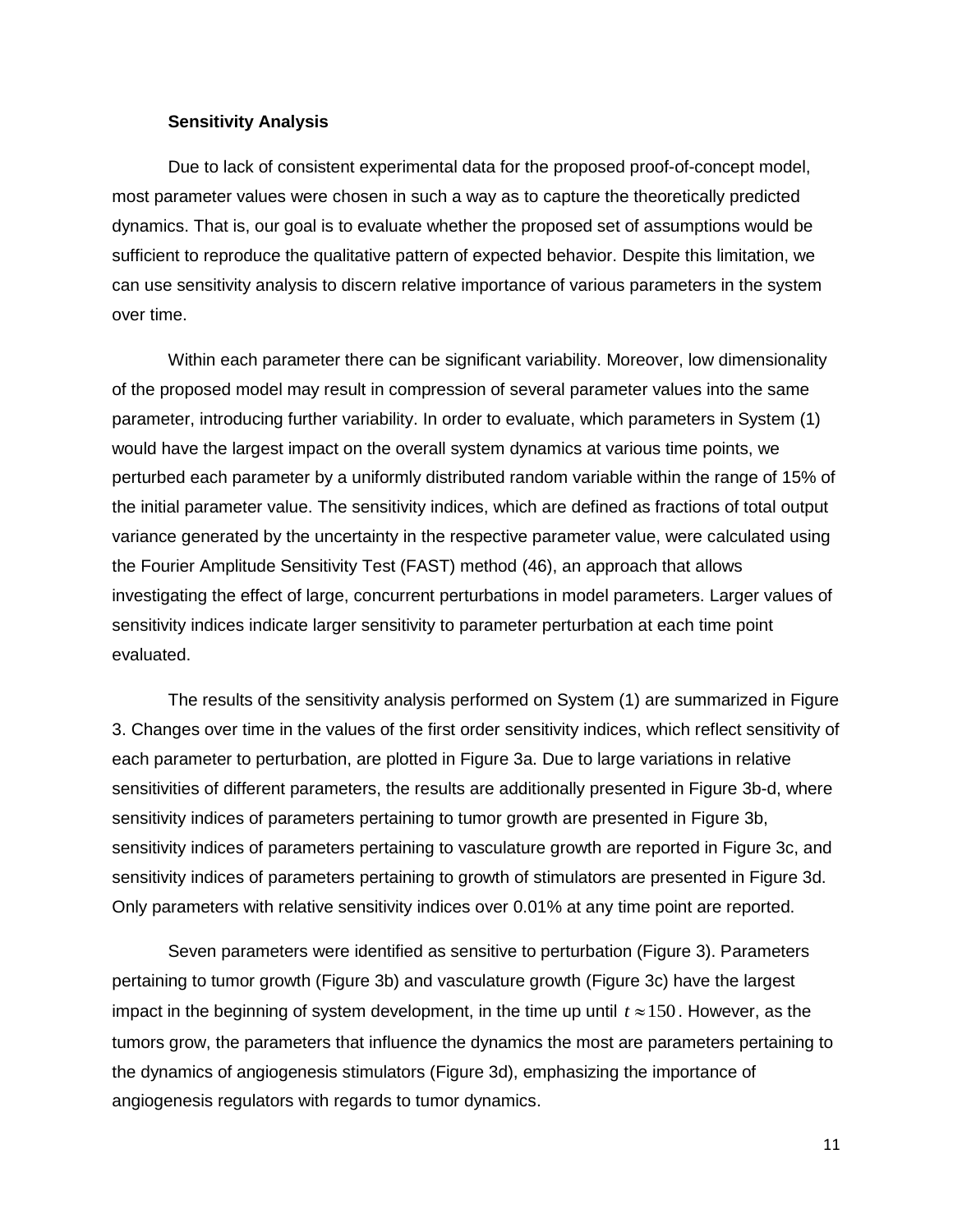## **Sensitivity Analysis**

Due to lack of consistent experimental data for the proposed proof-of-concept model, most parameter values were chosen in such a way as to capture the theoretically predicted dynamics. That is, our goal is to evaluate whether the proposed set of assumptions would be sufficient to reproduce the qualitative pattern of expected behavior. Despite this limitation, we can use sensitivity analysis to discern relative importance of various parameters in the system over time.

Within each parameter there can be significant variability. Moreover, low dimensionality of the proposed model may result in compression of several parameter values into the same parameter, introducing further variability. In order to evaluate, which parameters in System (1) would have the largest impact on the overall system dynamics at various time points, we perturbed each parameter by a uniformly distributed random variable within the range of 15% of the initial parameter value. The sensitivity indices, which are defined as fractions of total output variance generated by the uncertainty in the respective parameter value, were calculated using the Fourier Amplitude Sensitivity Test (FAST) method (46), an approach that allows investigating the effect of large, concurrent perturbations in model parameters. Larger values of sensitivity indices indicate larger sensitivity to parameter perturbation at each time point evaluated.

The results of the sensitivity analysis performed on System (1) are summarized in Figure 3. Changes over time in the values of the first order sensitivity indices, which reflect sensitivity of each parameter to perturbation, are plotted in Figure 3a. Due to large variations in relative sensitivities of different parameters, the results are additionally presented in Figure 3b-d, where sensitivity indices of parameters pertaining to tumor growth are presented in Figure 3b, sensitivity indices of parameters pertaining to vasculature growth are reported in Figure 3c, and sensitivity indices of parameters pertaining to growth of stimulators are presented in Figure 3d. Only parameters with relative sensitivity indices over 0.01% at any time point are reported.

Seven parameters were identified as sensitive to perturbation (Figure 3). Parameters pertaining to tumor growth (Figure 3b) and vasculature growth (Figure 3c) have the largest impact in the beginning of system development, in the time up until  $t \approx 150$ . However, as the tumors grow, the parameters that influence the dynamics the most are parameters pertaining to the dynamics of angiogenesis stimulators (Figure 3d), emphasizing the importance of angiogenesis regulators with regards to tumor dynamics.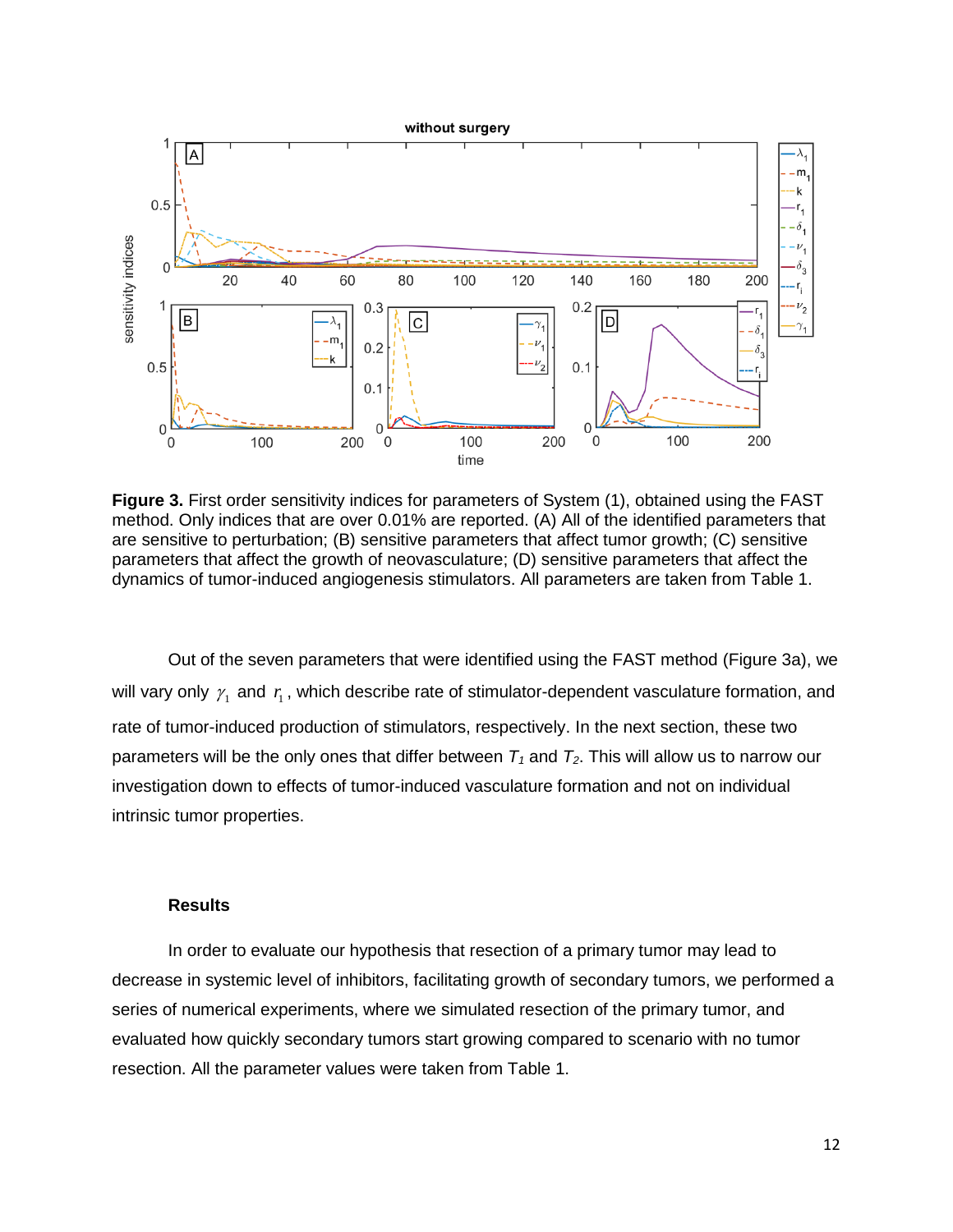

**Figure 3.** First order sensitivity indices for parameters of System (1), obtained using the FAST method. Only indices that are over 0.01% are reported. (A) All of the identified parameters that are sensitive to perturbation; (B) sensitive parameters that affect tumor growth; (C) sensitive parameters that affect the growth of neovasculature; (D) sensitive parameters that affect the dynamics of tumor-induced angiogenesis stimulators. All parameters are taken from Table 1.

Out of the seven parameters that were identified using the FAST method (Figure 3a), we will vary only  $\gamma_1$  and  $\eta_1$ , which describe rate of stimulator-dependent vasculature formation, and rate of tumor-induced production of stimulators, respectively. In the next section, these two parameters will be the only ones that differ between  $T_1$  and  $T_2$ . This will allow us to narrow our investigation down to effects of tumor-induced vasculature formation and not on individual intrinsic tumor properties.

## **Results**

In order to evaluate our hypothesis that resection of a primary tumor may lead to decrease in systemic level of inhibitors, facilitating growth of secondary tumors, we performed a series of numerical experiments, where we simulated resection of the primary tumor, and evaluated how quickly secondary tumors start growing compared to scenario with no tumor resection. All the parameter values were taken from Table 1.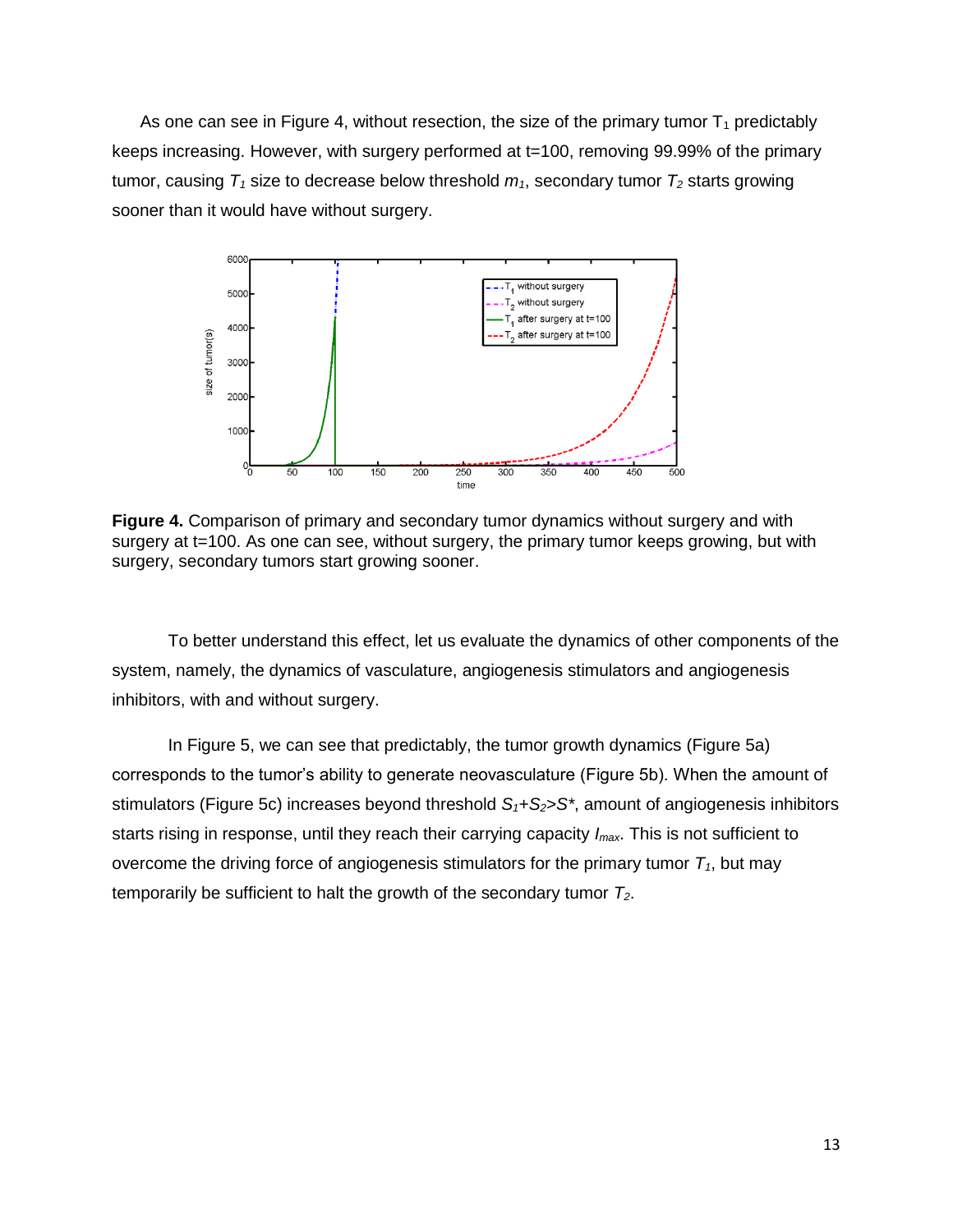As one can see in Figure 4, without resection, the size of the primary tumor  $T_1$  predictably keeps increasing. However, with surgery performed at t=100, removing 99.99% of the primary tumor, causing  $T_1$  size to decrease below threshold  $m_1$ , secondary tumor  $T_2$  starts growing sooner than it would have without surgery.



**Figure 4.** Comparison of primary and secondary tumor dynamics without surgery and with surgery at t=100. As one can see, without surgery, the primary tumor keeps growing, but with surgery, secondary tumors start growing sooner.

To better understand this effect, let us evaluate the dynamics of other components of the system, namely, the dynamics of vasculature, angiogenesis stimulators and angiogenesis inhibitors, with and without surgery.

In Figure 5, we can see that predictably, the tumor growth dynamics (Figure 5a) corresponds to the tumor's ability to generate neovasculature (Figure 5b). When the amount of stimulators (Figure 5c) increases beyond threshold *S1+S2>S\**, amount of angiogenesis inhibitors starts rising in response, until they reach their carrying capacity *Imax*. This is not sufficient to overcome the driving force of angiogenesis stimulators for the primary tumor *T1*, but may temporarily be sufficient to halt the growth of the secondary tumor *T2*.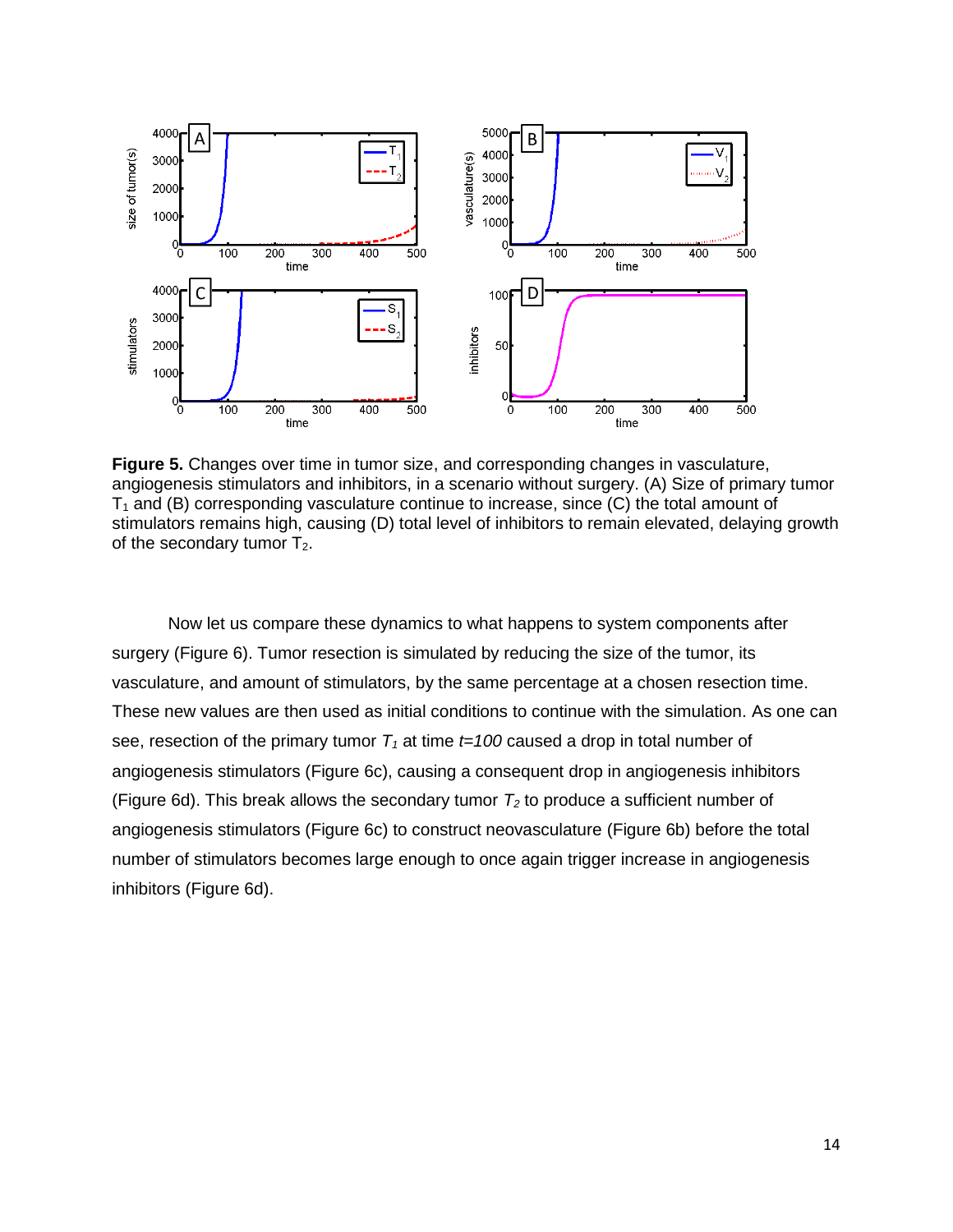

**Figure 5.** Changes over time in tumor size, and corresponding changes in vasculature, angiogenesis stimulators and inhibitors, in a scenario without surgery. (A) Size of primary tumor  $T_1$  and (B) corresponding vasculature continue to increase, since (C) the total amount of stimulators remains high, causing (D) total level of inhibitors to remain elevated, delaying growth of the secondary tumor  $T_2$ .

Now let us compare these dynamics to what happens to system components after surgery (Figure 6). Tumor resection is simulated by reducing the size of the tumor, its vasculature, and amount of stimulators, by the same percentage at a chosen resection time. These new values are then used as initial conditions to continue with the simulation. As one can see, resection of the primary tumor  $T_1$  at time  $t=100$  caused a drop in total number of angiogenesis stimulators (Figure 6c), causing a consequent drop in angiogenesis inhibitors (Figure 6d). This break allows the secondary tumor  $T_2$  to produce a sufficient number of angiogenesis stimulators (Figure 6c) to construct neovasculature (Figure 6b) before the total number of stimulators becomes large enough to once again trigger increase in angiogenesis inhibitors (Figure 6d).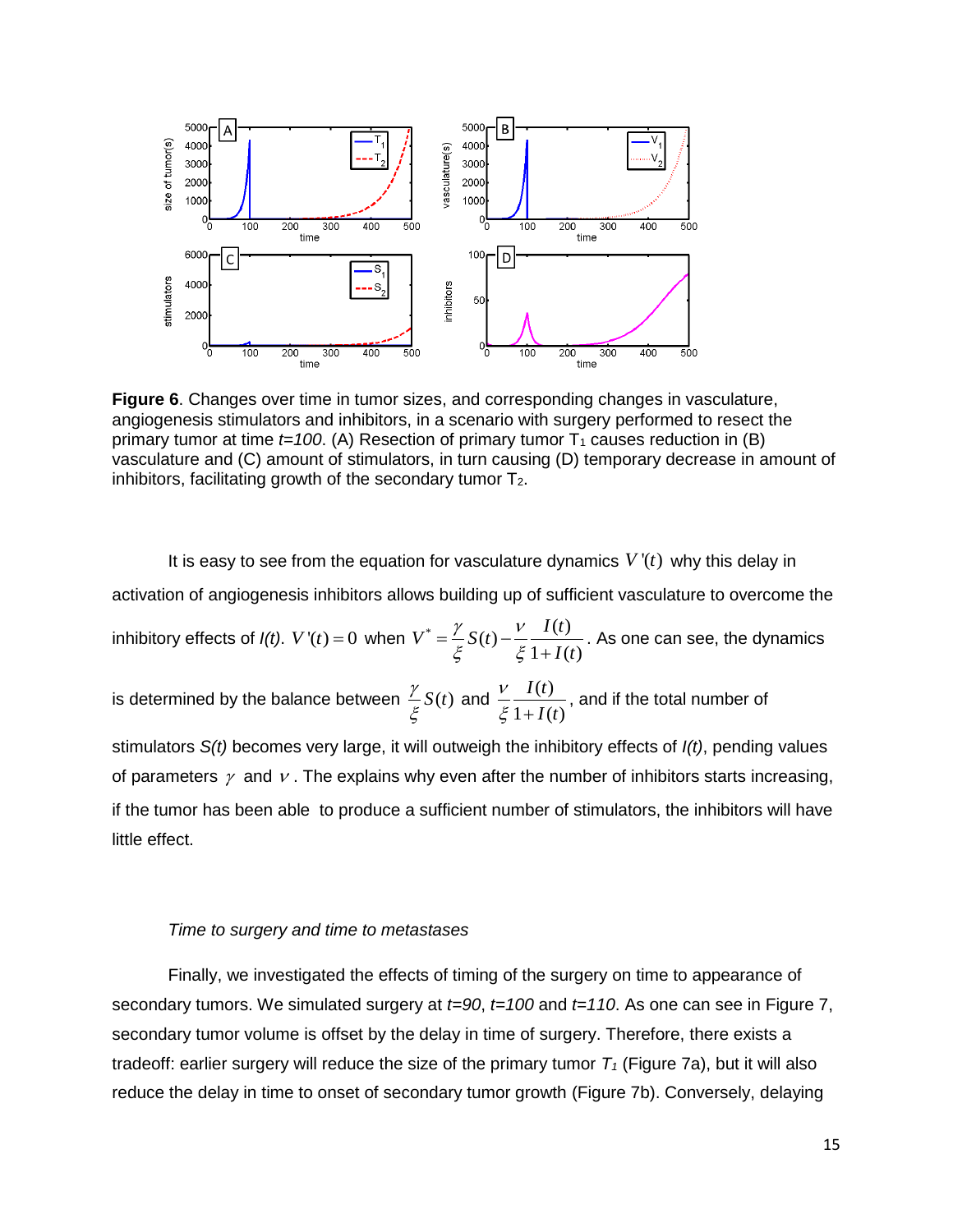

**Figure 6**. Changes over time in tumor sizes, and corresponding changes in vasculature, angiogenesis stimulators and inhibitors, in a scenario with surgery performed to resect the primary tumor at time  $t=100$ . (A) Resection of primary tumor  $T_1$  causes reduction in (B) vasculature and (C) amount of stimulators, in turn causing (D) temporary decrease in amount of inhibitors, facilitating growth of the secondary tumor  $T_2$ .

It is easy to see from the equation for vasculature dynamics  $V'(t)$  why this delay in activation of angiogenesis inhibitors allows building up of sufficient vasculature to overcome the inhibitory effects of  $I(t)$ .  $V'(t) = 0$  when  $V^* = \frac{\gamma}{s} S(t) - \frac{V}{s} \frac{I(t)}{1 + I(t)}$  $\frac{1}{1+I(t)}$  $V^* = \frac{\gamma}{r} S(t) - \frac{V}{r} \frac{I(t)}{1 + I(t)}$  $\frac{1}{I(t)}$  $\gamma$ <sub>S(t)</sub>  $V$  $\frac{1}{\xi}S(t)-\frac{1}{\xi}\frac{1}{1-\xi}$  $=\frac{\gamma}{\varepsilon}S(t)-\frac{V}{\varepsilon}$  $\ddot{}$ . As one can see, the dynamics is determined by the balance between  $\frac{\gamma}{\sigma}S(t)$ ξ and  $\frac{V}{a} \frac{I(t)}{1-t}$  $1 + I(t)$ *I t I t*  $\mathcal V$  $\xi$  1+ , and if the total number of stimulators *S(t)* becomes very large, it will outweigh the inhibitory effects of *I(t)*, pending values of parameters  $\gamma$  and  $\nu$  . The explains why even after the number of inhibitors starts increasing, if the tumor has been able to produce a sufficient number of stimulators, the inhibitors will have little effect.

#### *Time to surgery and time to metastases*

Finally, we investigated the effects of timing of the surgery on time to appearance of secondary tumors. We simulated surgery at *t=90*, *t=100* and *t=110*. As one can see in Figure 7, secondary tumor volume is offset by the delay in time of surgery. Therefore, there exists a tradeoff: earlier surgery will reduce the size of the primary tumor  $T<sub>1</sub>$  (Figure 7a), but it will also reduce the delay in time to onset of secondary tumor growth (Figure 7b). Conversely, delaying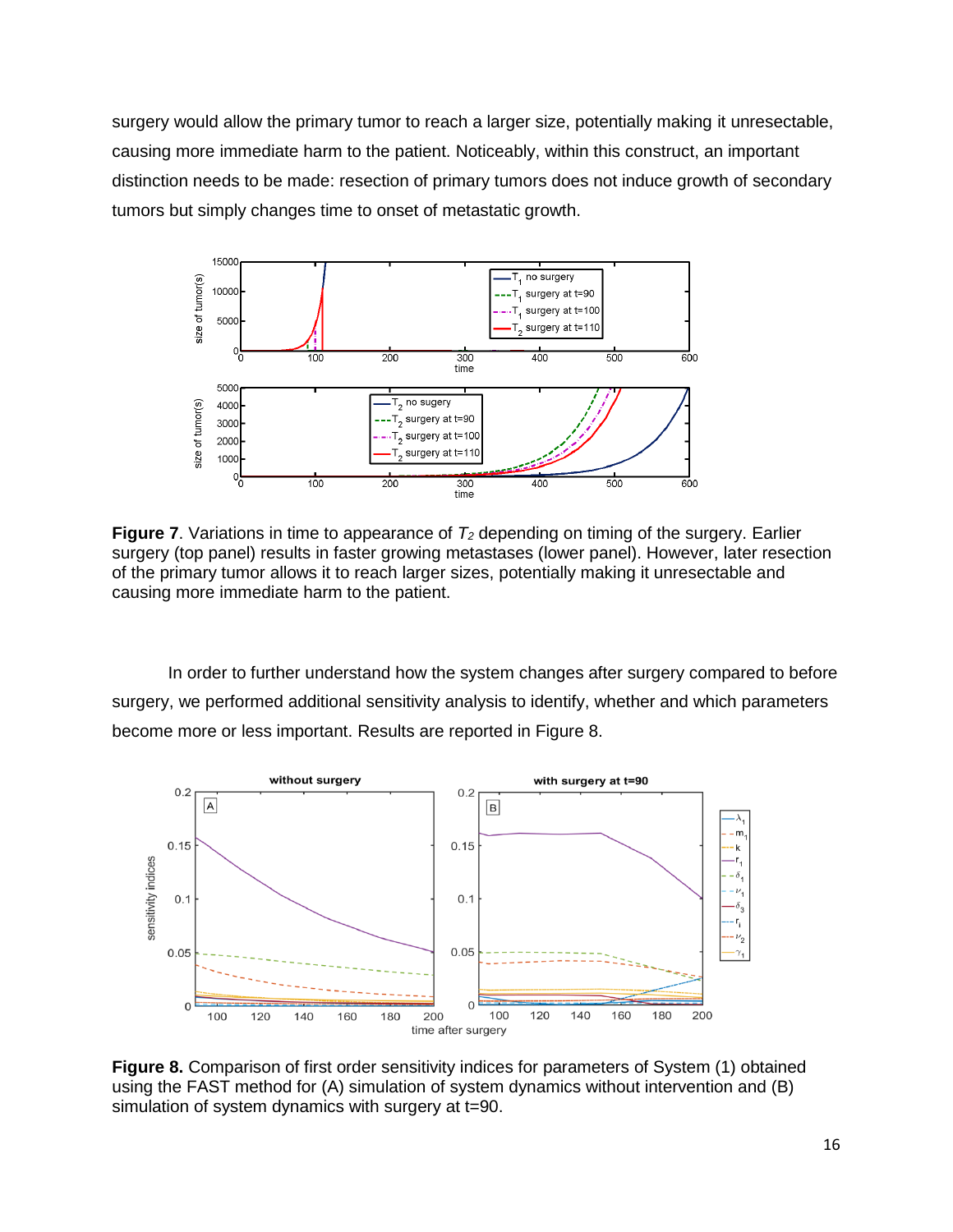surgery would allow the primary tumor to reach a larger size, potentially making it unresectable, causing more immediate harm to the patient. Noticeably, within this construct, an important distinction needs to be made: resection of primary tumors does not induce growth of secondary tumors but simply changes time to onset of metastatic growth.



**Figure 7**. Variations in time to appearance of *T<sup>2</sup>* depending on timing of the surgery. Earlier surgery (top panel) results in faster growing metastases (lower panel). However, later resection of the primary tumor allows it to reach larger sizes, potentially making it unresectable and causing more immediate harm to the patient.

In order to further understand how the system changes after surgery compared to before surgery, we performed additional sensitivity analysis to identify, whether and which parameters become more or less important. Results are reported in Figure 8.



**Figure 8.** Comparison of first order sensitivity indices for parameters of System (1) obtained using the FAST method for (A) simulation of system dynamics without intervention and (B) simulation of system dynamics with surgery at t=90.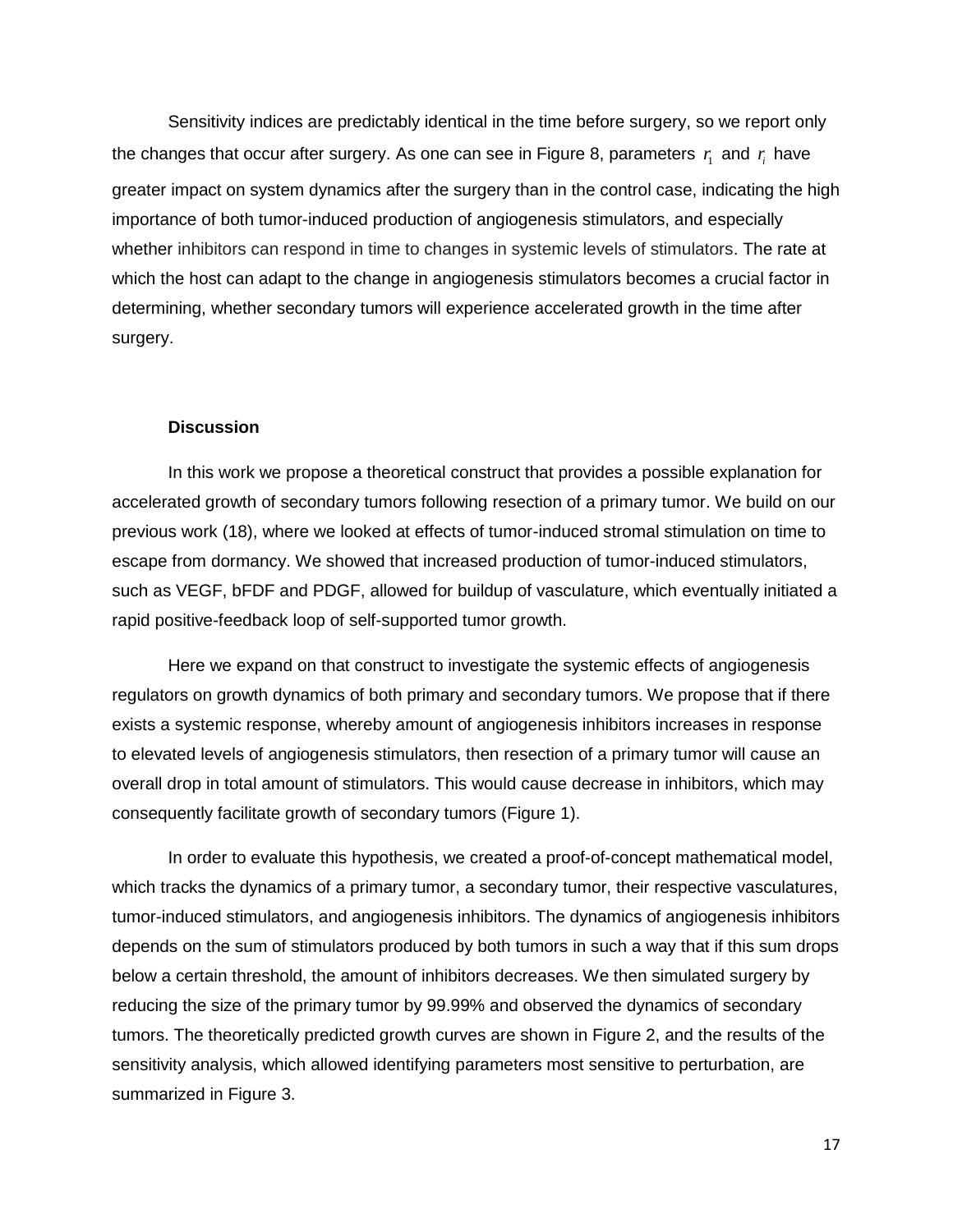Sensitivity indices are predictably identical in the time before surgery, so we report only the changes that occur after surgery. As one can see in Figure 8, parameters  $r_{\rm i}$  and  $r_{\rm i}$  have greater impact on system dynamics after the surgery than in the control case, indicating the high importance of both tumor-induced production of angiogenesis stimulators, and especially whether inhibitors can respond in time to changes in systemic levels of stimulators. The rate at which the host can adapt to the change in angiogenesis stimulators becomes a crucial factor in determining, whether secondary tumors will experience accelerated growth in the time after surgery.

### **Discussion**

In this work we propose a theoretical construct that provides a possible explanation for accelerated growth of secondary tumors following resection of a primary tumor. We build on our previous work (18), where we looked at effects of tumor-induced stromal stimulation on time to escape from dormancy. We showed that increased production of tumor-induced stimulators, such as VEGF, bFDF and PDGF, allowed for buildup of vasculature, which eventually initiated a rapid positive-feedback loop of self-supported tumor growth.

Here we expand on that construct to investigate the systemic effects of angiogenesis regulators on growth dynamics of both primary and secondary tumors. We propose that if there exists a systemic response, whereby amount of angiogenesis inhibitors increases in response to elevated levels of angiogenesis stimulators, then resection of a primary tumor will cause an overall drop in total amount of stimulators. This would cause decrease in inhibitors, which may consequently facilitate growth of secondary tumors (Figure 1).

In order to evaluate this hypothesis, we created a proof-of-concept mathematical model, which tracks the dynamics of a primary tumor, a secondary tumor, their respective vasculatures, tumor-induced stimulators, and angiogenesis inhibitors. The dynamics of angiogenesis inhibitors depends on the sum of stimulators produced by both tumors in such a way that if this sum drops below a certain threshold, the amount of inhibitors decreases. We then simulated surgery by reducing the size of the primary tumor by 99.99% and observed the dynamics of secondary tumors. The theoretically predicted growth curves are shown in Figure 2, and the results of the sensitivity analysis, which allowed identifying parameters most sensitive to perturbation, are summarized in Figure 3.

17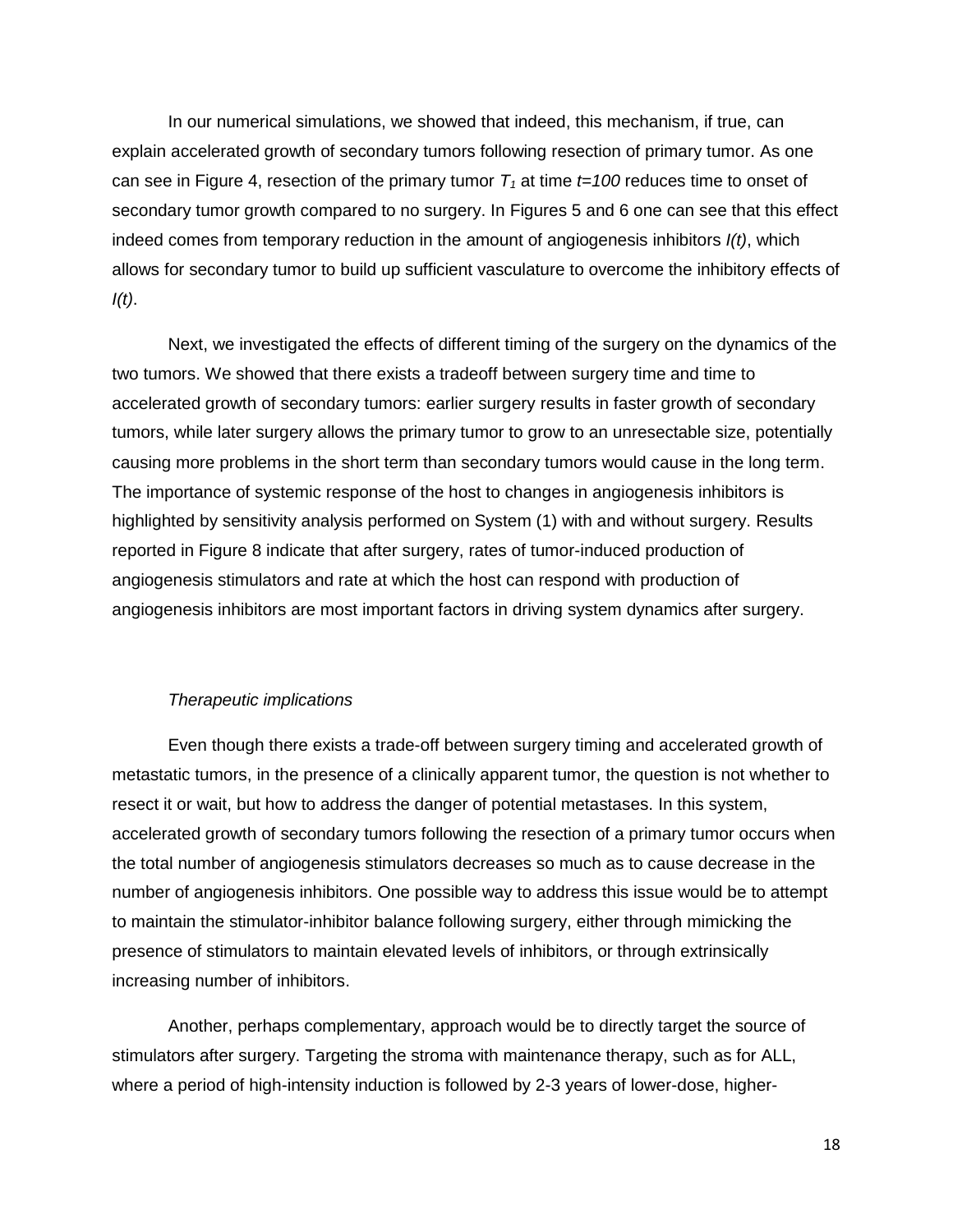In our numerical simulations, we showed that indeed, this mechanism, if true, can explain accelerated growth of secondary tumors following resection of primary tumor. As one can see in Figure 4, resection of the primary tumor  $T<sub>1</sub>$  at time  $t=100$  reduces time to onset of secondary tumor growth compared to no surgery. In Figures 5 and 6 one can see that this effect indeed comes from temporary reduction in the amount of angiogenesis inhibitors *I(t)*, which allows for secondary tumor to build up sufficient vasculature to overcome the inhibitory effects of *I(t)*.

Next, we investigated the effects of different timing of the surgery on the dynamics of the two tumors. We showed that there exists a tradeoff between surgery time and time to accelerated growth of secondary tumors: earlier surgery results in faster growth of secondary tumors, while later surgery allows the primary tumor to grow to an unresectable size, potentially causing more problems in the short term than secondary tumors would cause in the long term. The importance of systemic response of the host to changes in angiogenesis inhibitors is highlighted by sensitivity analysis performed on System (1) with and without surgery. Results reported in Figure 8 indicate that after surgery, rates of tumor-induced production of angiogenesis stimulators and rate at which the host can respond with production of angiogenesis inhibitors are most important factors in driving system dynamics after surgery.

## *Therapeutic implications*

Even though there exists a trade-off between surgery timing and accelerated growth of metastatic tumors, in the presence of a clinically apparent tumor, the question is not whether to resect it or wait, but how to address the danger of potential metastases. In this system, accelerated growth of secondary tumors following the resection of a primary tumor occurs when the total number of angiogenesis stimulators decreases so much as to cause decrease in the number of angiogenesis inhibitors. One possible way to address this issue would be to attempt to maintain the stimulator-inhibitor balance following surgery, either through mimicking the presence of stimulators to maintain elevated levels of inhibitors, or through extrinsically increasing number of inhibitors.

Another, perhaps complementary, approach would be to directly target the source of stimulators after surgery. Targeting the stroma with maintenance therapy, such as for ALL, where a period of high-intensity induction is followed by 2-3 years of lower-dose, higher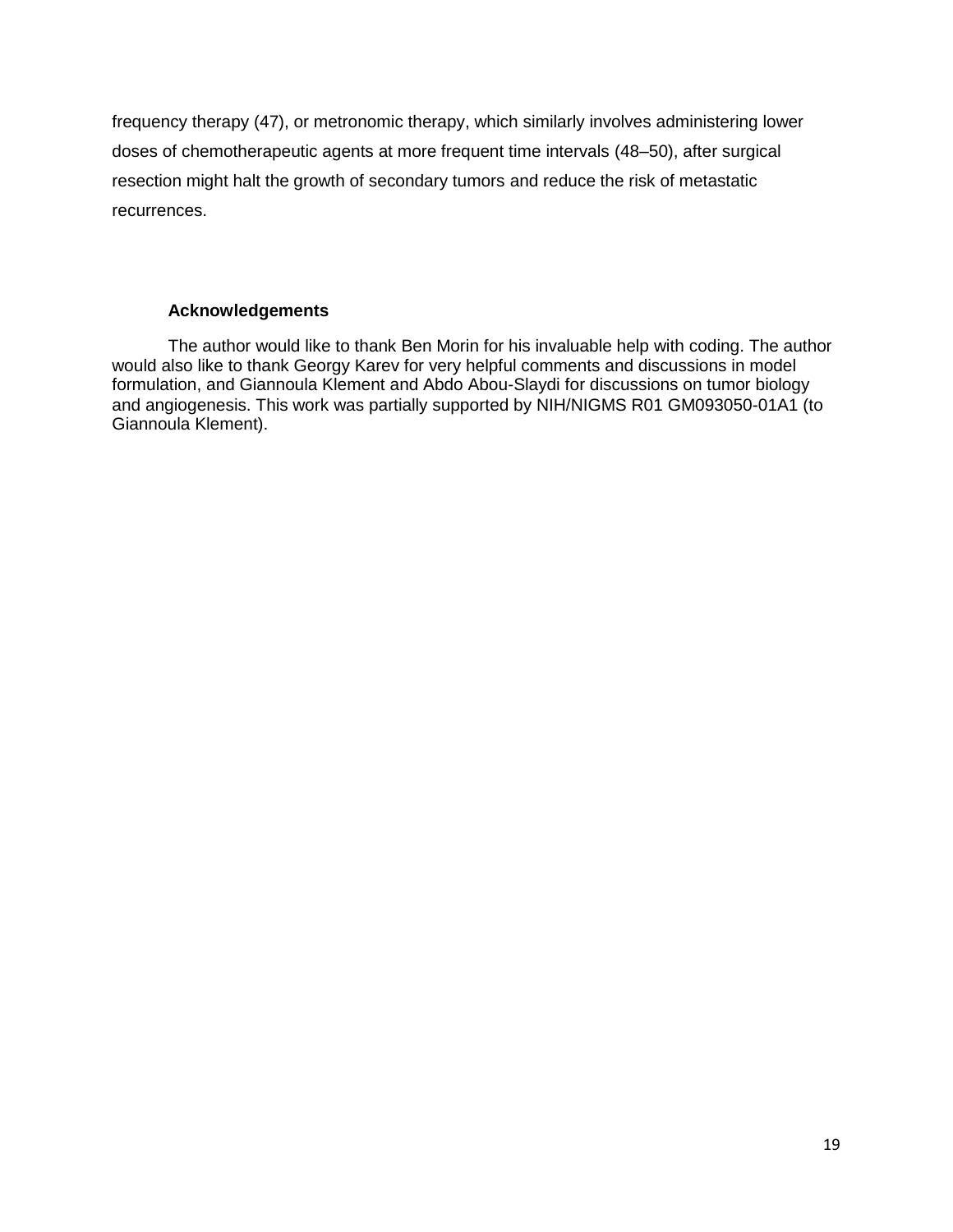frequency therapy (47), or metronomic therapy, which similarly involves administering lower doses of chemotherapeutic agents at more frequent time intervals (48–50), after surgical resection might halt the growth of secondary tumors and reduce the risk of metastatic recurrences.

## **Acknowledgements**

The author would like to thank Ben Morin for his invaluable help with coding. The author would also like to thank Georgy Karev for very helpful comments and discussions in model formulation, and Giannoula Klement and Abdo Abou-Slaydi for discussions on tumor biology and angiogenesis. This work was partially supported by NIH/NIGMS R01 GM093050-01A1 (to Giannoula Klement).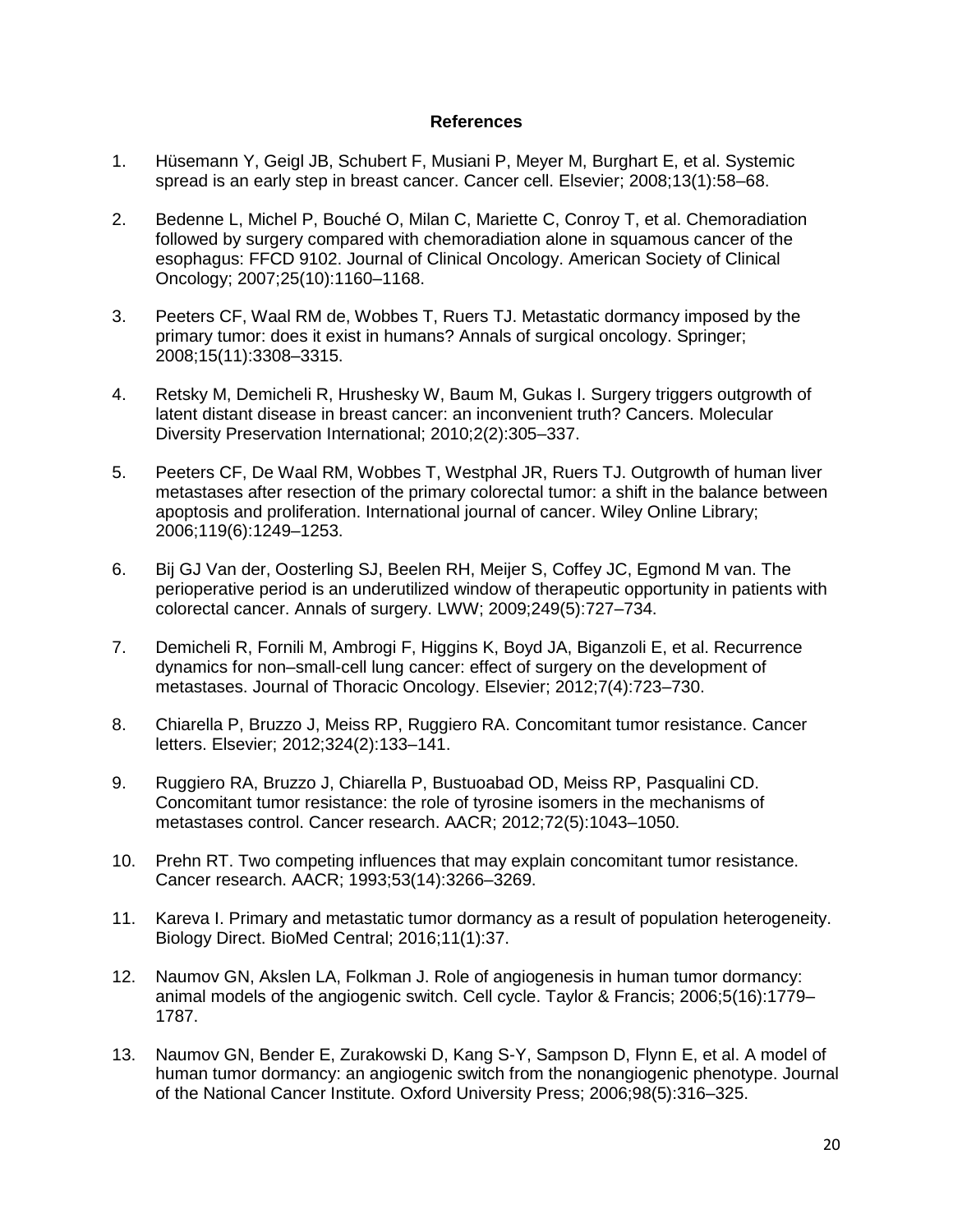## **References**

- 1. Hüsemann Y, Geigl JB, Schubert F, Musiani P, Meyer M, Burghart E, et al. Systemic spread is an early step in breast cancer. Cancer cell. Elsevier; 2008;13(1):58–68.
- 2. Bedenne L, Michel P, Bouché O, Milan C, Mariette C, Conroy T, et al. Chemoradiation followed by surgery compared with chemoradiation alone in squamous cancer of the esophagus: FFCD 9102. Journal of Clinical Oncology. American Society of Clinical Oncology; 2007;25(10):1160–1168.
- 3. Peeters CF, Waal RM de, Wobbes T, Ruers TJ. Metastatic dormancy imposed by the primary tumor: does it exist in humans? Annals of surgical oncology. Springer; 2008;15(11):3308–3315.
- 4. Retsky M, Demicheli R, Hrushesky W, Baum M, Gukas I. Surgery triggers outgrowth of latent distant disease in breast cancer: an inconvenient truth? Cancers. Molecular Diversity Preservation International; 2010;2(2):305–337.
- 5. Peeters CF, De Waal RM, Wobbes T, Westphal JR, Ruers TJ. Outgrowth of human liver metastases after resection of the primary colorectal tumor: a shift in the balance between apoptosis and proliferation. International journal of cancer. Wiley Online Library; 2006;119(6):1249–1253.
- 6. Bij GJ Van der, Oosterling SJ, Beelen RH, Meijer S, Coffey JC, Egmond M van. The perioperative period is an underutilized window of therapeutic opportunity in patients with colorectal cancer. Annals of surgery. LWW; 2009;249(5):727–734.
- 7. Demicheli R, Fornili M, Ambrogi F, Higgins K, Boyd JA, Biganzoli E, et al. Recurrence dynamics for non–small-cell lung cancer: effect of surgery on the development of metastases. Journal of Thoracic Oncology. Elsevier; 2012;7(4):723–730.
- 8. Chiarella P, Bruzzo J, Meiss RP, Ruggiero RA. Concomitant tumor resistance. Cancer letters. Elsevier; 2012;324(2):133–141.
- 9. Ruggiero RA, Bruzzo J, Chiarella P, Bustuoabad OD, Meiss RP, Pasqualini CD. Concomitant tumor resistance: the role of tyrosine isomers in the mechanisms of metastases control. Cancer research. AACR; 2012;72(5):1043–1050.
- 10. Prehn RT. Two competing influences that may explain concomitant tumor resistance. Cancer research. AACR; 1993;53(14):3266–3269.
- 11. Kareva I. Primary and metastatic tumor dormancy as a result of population heterogeneity. Biology Direct. BioMed Central; 2016;11(1):37.
- 12. Naumov GN, Akslen LA, Folkman J. Role of angiogenesis in human tumor dormancy: animal models of the angiogenic switch. Cell cycle. Taylor & Francis; 2006;5(16):1779– 1787.
- 13. Naumov GN, Bender E, Zurakowski D, Kang S-Y, Sampson D, Flynn E, et al. A model of human tumor dormancy: an angiogenic switch from the nonangiogenic phenotype. Journal of the National Cancer Institute. Oxford University Press; 2006;98(5):316–325.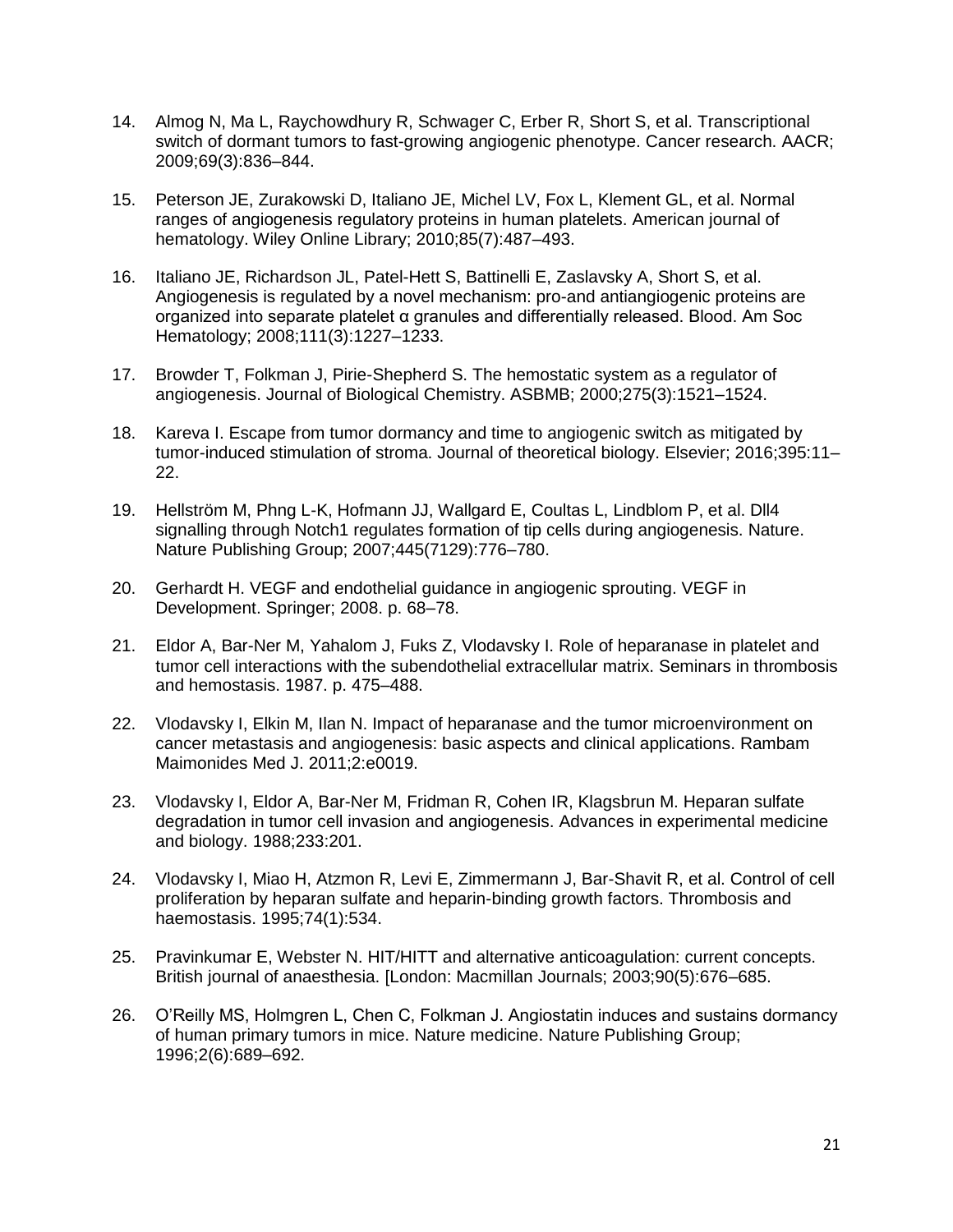- 14. Almog N, Ma L, Raychowdhury R, Schwager C, Erber R, Short S, et al. Transcriptional switch of dormant tumors to fast-growing angiogenic phenotype. Cancer research. AACR; 2009;69(3):836–844.
- 15. Peterson JE, Zurakowski D, Italiano JE, Michel LV, Fox L, Klement GL, et al. Normal ranges of angiogenesis regulatory proteins in human platelets. American journal of hematology. Wiley Online Library; 2010;85(7):487–493.
- 16. Italiano JE, Richardson JL, Patel-Hett S, Battinelli E, Zaslavsky A, Short S, et al. Angiogenesis is regulated by a novel mechanism: pro-and antiangiogenic proteins are organized into separate platelet α granules and differentially released. Blood. Am Soc Hematology; 2008;111(3):1227–1233.
- 17. Browder T, Folkman J, Pirie-Shepherd S. The hemostatic system as a regulator of angiogenesis. Journal of Biological Chemistry. ASBMB; 2000;275(3):1521–1524.
- 18. Kareva I. Escape from tumor dormancy and time to angiogenic switch as mitigated by tumor-induced stimulation of stroma. Journal of theoretical biology. Elsevier; 2016;395:11– 22.
- 19. Hellström M, Phng L-K, Hofmann JJ, Wallgard E, Coultas L, Lindblom P, et al. Dll4 signalling through Notch1 regulates formation of tip cells during angiogenesis. Nature. Nature Publishing Group; 2007;445(7129):776–780.
- 20. Gerhardt H. VEGF and endothelial guidance in angiogenic sprouting. VEGF in Development. Springer; 2008. p. 68–78.
- 21. Eldor A, Bar-Ner M, Yahalom J, Fuks Z, Vlodavsky I. Role of heparanase in platelet and tumor cell interactions with the subendothelial extracellular matrix. Seminars in thrombosis and hemostasis. 1987. p. 475–488.
- 22. Vlodavsky I, Elkin M, Ilan N. Impact of heparanase and the tumor microenvironment on cancer metastasis and angiogenesis: basic aspects and clinical applications. Rambam Maimonides Med J. 2011;2:e0019.
- 23. Vlodavsky I, Eldor A, Bar-Ner M, Fridman R, Cohen IR, Klagsbrun M. Heparan sulfate degradation in tumor cell invasion and angiogenesis. Advances in experimental medicine and biology. 1988;233:201.
- 24. Vlodavsky I, Miao H, Atzmon R, Levi E, Zimmermann J, Bar-Shavit R, et al. Control of cell proliferation by heparan sulfate and heparin-binding growth factors. Thrombosis and haemostasis. 1995;74(1):534.
- 25. Pravinkumar E, Webster N. HIT/HITT and alternative anticoagulation: current concepts. British journal of anaesthesia. [London: Macmillan Journals; 2003;90(5):676–685.
- 26. O'Reilly MS, Holmgren L, Chen C, Folkman J. Angiostatin induces and sustains dormancy of human primary tumors in mice. Nature medicine. Nature Publishing Group; 1996;2(6):689–692.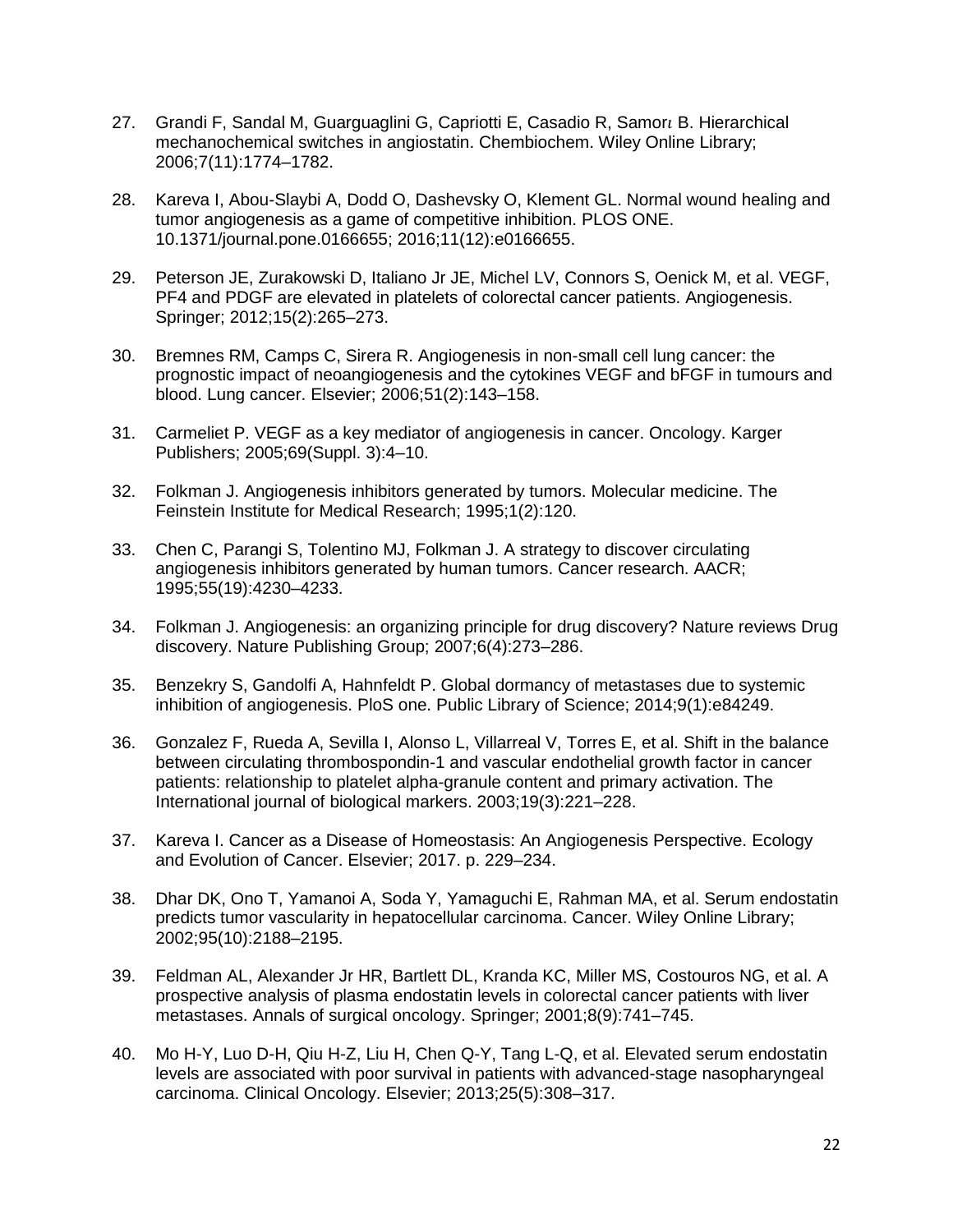- 27. Grandi F, Sandal M, Guarguaglini G, Capriotti E, Casadio R, Samor, B. Hierarchical mechanochemical switches in angiostatin. Chembiochem. Wiley Online Library; 2006;7(11):1774–1782.
- 28. Kareva I, Abou-Slaybi A, Dodd O, Dashevsky O, Klement GL. Normal wound healing and tumor angiogenesis as a game of competitive inhibition. PLOS ONE. 10.1371/journal.pone.0166655; 2016;11(12):e0166655.
- 29. Peterson JE, Zurakowski D, Italiano Jr JE, Michel LV, Connors S, Oenick M, et al. VEGF, PF4 and PDGF are elevated in platelets of colorectal cancer patients. Angiogenesis. Springer; 2012;15(2):265–273.
- 30. Bremnes RM, Camps C, Sirera R. Angiogenesis in non-small cell lung cancer: the prognostic impact of neoangiogenesis and the cytokines VEGF and bFGF in tumours and blood. Lung cancer. Elsevier; 2006;51(2):143–158.
- 31. Carmeliet P. VEGF as a key mediator of angiogenesis in cancer. Oncology. Karger Publishers; 2005;69(Suppl. 3):4–10.
- 32. Folkman J. Angiogenesis inhibitors generated by tumors. Molecular medicine. The Feinstein Institute for Medical Research; 1995;1(2):120.
- 33. Chen C, Parangi S, Tolentino MJ, Folkman J. A strategy to discover circulating angiogenesis inhibitors generated by human tumors. Cancer research. AACR; 1995;55(19):4230–4233.
- 34. Folkman J. Angiogenesis: an organizing principle for drug discovery? Nature reviews Drug discovery. Nature Publishing Group; 2007;6(4):273–286.
- 35. Benzekry S, Gandolfi A, Hahnfeldt P. Global dormancy of metastases due to systemic inhibition of angiogenesis. PloS one. Public Library of Science; 2014;9(1):e84249.
- 36. Gonzalez F, Rueda A, Sevilla I, Alonso L, Villarreal V, Torres E, et al. Shift in the balance between circulating thrombospondin-1 and vascular endothelial growth factor in cancer patients: relationship to platelet alpha-granule content and primary activation. The International journal of biological markers. 2003;19(3):221–228.
- 37. Kareva I. Cancer as a Disease of Homeostasis: An Angiogenesis Perspective. Ecology and Evolution of Cancer. Elsevier; 2017. p. 229–234.
- 38. Dhar DK, Ono T, Yamanoi A, Soda Y, Yamaguchi E, Rahman MA, et al. Serum endostatin predicts tumor vascularity in hepatocellular carcinoma. Cancer. Wiley Online Library; 2002;95(10):2188–2195.
- 39. Feldman AL, Alexander Jr HR, Bartlett DL, Kranda KC, Miller MS, Costouros NG, et al. A prospective analysis of plasma endostatin levels in colorectal cancer patients with liver metastases. Annals of surgical oncology. Springer; 2001;8(9):741–745.
- 40. Mo H-Y, Luo D-H, Qiu H-Z, Liu H, Chen Q-Y, Tang L-Q, et al. Elevated serum endostatin levels are associated with poor survival in patients with advanced-stage nasopharyngeal carcinoma. Clinical Oncology. Elsevier; 2013;25(5):308–317.